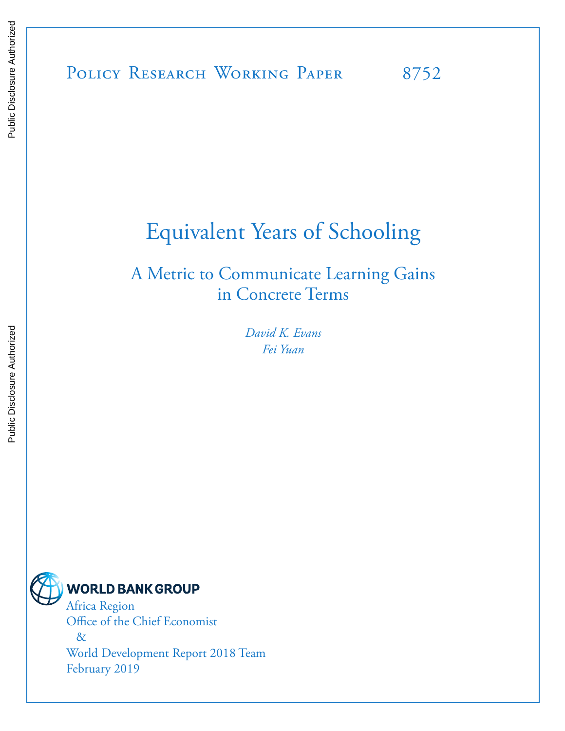# POLICY RESEARCH WORKING PAPER 8752

# Equivalent Years of Schooling

# A Metric to Communicate Learning Gains in Concrete Terms

*David K. Evans Fei Yuan* 



Africa Region Office of the Chief Economist & World Development Report 2018 Team February 2019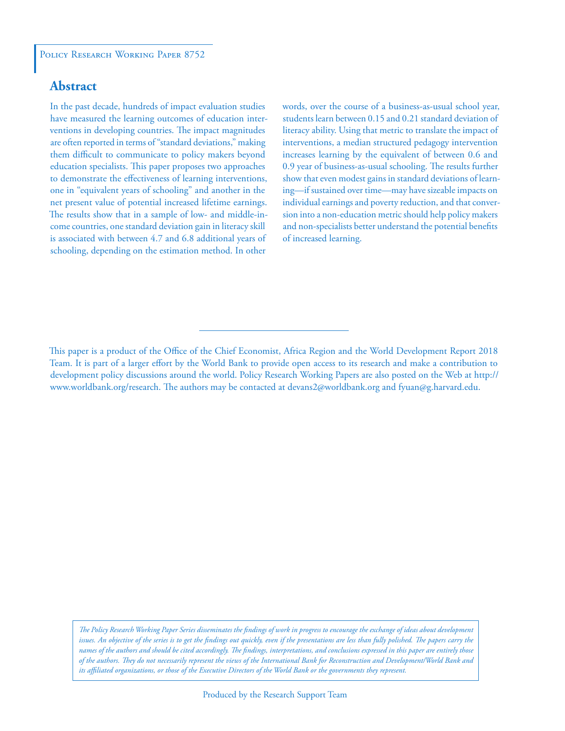#### **Abstract**

In the past decade, hundreds of impact evaluation studies have measured the learning outcomes of education interventions in developing countries. The impact magnitudes are often reported in terms of "standard deviations," making them difficult to communicate to policy makers beyond education specialists. This paper proposes two approaches to demonstrate the effectiveness of learning interventions, one in "equivalent years of schooling" and another in the net present value of potential increased lifetime earnings. The results show that in a sample of low- and middle-income countries, one standard deviation gain in literacy skill is associated with between 4.7 and 6.8 additional years of schooling, depending on the estimation method. In other

words, over the course of a business-as-usual school year, students learn between 0.15 and 0.21 standard deviation of literacy ability. Using that metric to translate the impact of interventions, a median structured pedagogy intervention increases learning by the equivalent of between 0.6 and 0.9 year of business-as-usual schooling. The results further show that even modest gains in standard deviations of learning—if sustained over time—may have sizeable impacts on individual earnings and poverty reduction, and that conversion into a non-education metric should help policy makers and non-specialists better understand the potential benefits of increased learning.

*The Policy Research Working Paper Series disseminates the findings of work in progress to encourage the exchange of ideas about development*  issues. An objective of the series is to get the findings out quickly, even if the presentations are less than fully polished. The papers carry the *names of the authors and should be cited accordingly. The findings, interpretations, and conclusions expressed in this paper are entirely those of the authors. They do not necessarily represent the views of the International Bank for Reconstruction and Development/World Bank and its affiliated organizations, or those of the Executive Directors of the World Bank or the governments they represent.*

This paper is a product of the Office of the Chief Economist, Africa Region and the World Development Report 2018 Team. It is part of a larger effort by the World Bank to provide open access to its research and make a contribution to development policy discussions around the world. Policy Research Working Papers are also posted on the Web at http:// www.worldbank.org/research. The authors may be contacted at devans2@worldbank.org and fyuan@g.harvard.edu.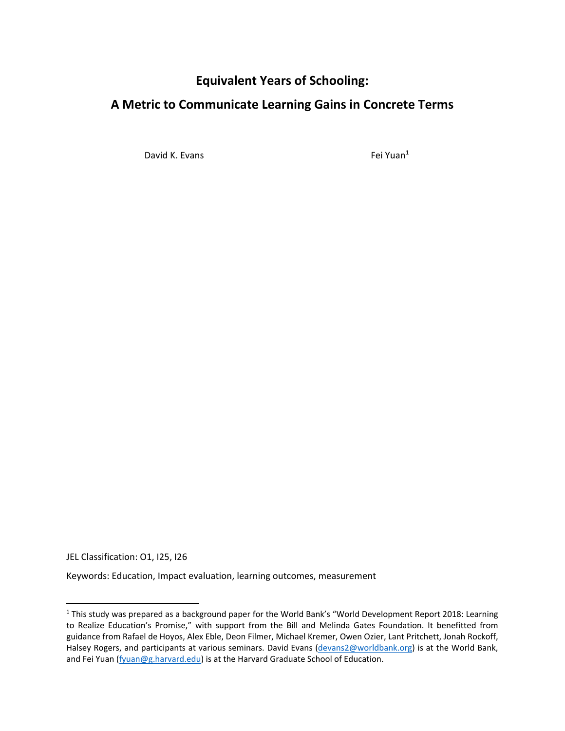### **Equivalent Years of Schooling:**

### **A Metric to Communicate Learning Gains in Concrete Terms**

David K. Evans **Fei Yuan**<sup>1</sup>

JEL Classification: O1, I25, I26

Keywords: Education, Impact evaluation, learning outcomes, measurement

<sup>&</sup>lt;sup>1</sup> This study was prepared as a background paper for the World Bank's "World Development Report 2018: Learning to Realize Education's Promise," with support from the Bill and Melinda Gates Foundation. It benefitted from guidance from Rafael de Hoyos, Alex Eble, Deon Filmer, Michael Kremer, Owen Ozier, Lant Pritchett, Jonah Rockoff, Halsey Rogers, and participants at various seminars. David Evans (devans2@worldbank.org) is at the World Bank, and Fei Yuan (fyuan@g.harvard.edu) is at the Harvard Graduate School of Education.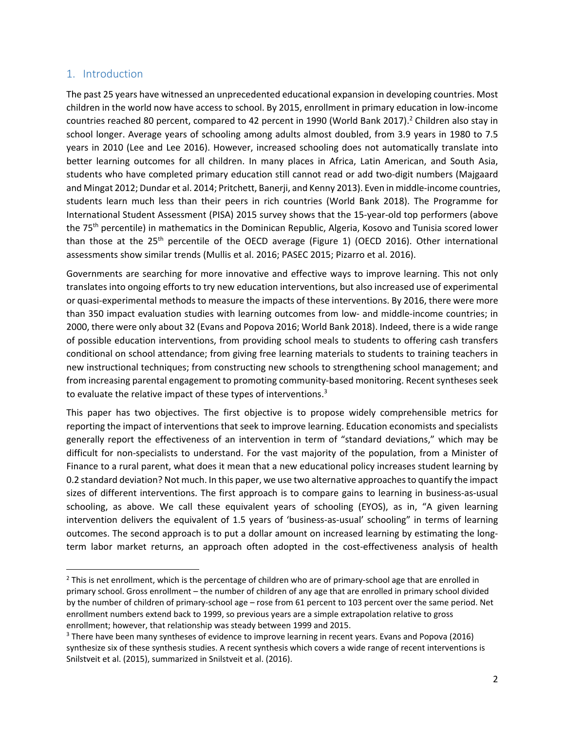#### 1. Introduction

The past 25 years have witnessed an unprecedented educational expansion in developing countries. Most children in the world now have access to school. By 2015, enrollment in primary education in low‐income countries reached 80 percent, compared to 42 percent in 1990 (World Bank 2017).<sup>2</sup> Children also stay in school longer. Average years of schooling among adults almost doubled, from 3.9 years in 1980 to 7.5 years in 2010 (Lee and Lee 2016). However, increased schooling does not automatically translate into better learning outcomes for all children. In many places in Africa, Latin American, and South Asia, students who have completed primary education still cannot read or add two‐digit numbers (Majgaard and Mingat 2012; Dundar et al. 2014; Pritchett, Banerji, and Kenny 2013). Even in middle‐income countries, students learn much less than their peers in rich countries (World Bank 2018). The Programme for International Student Assessment (PISA) 2015 survey shows that the 15‐year‐old top performers (above the 75<sup>th</sup> percentile) in mathematics in the Dominican Republic, Algeria, Kosovo and Tunisia scored lower than those at the 25<sup>th</sup> percentile of the OECD average (Figure 1) (OECD 2016). Other international assessments show similar trends (Mullis et al. 2016; PASEC 2015; Pizarro et al. 2016).

Governments are searching for more innovative and effective ways to improve learning. This not only translates into ongoing efforts to try new education interventions, but also increased use of experimental or quasi‐experimental methods to measure the impacts of these interventions. By 2016, there were more than 350 impact evaluation studies with learning outcomes from low‐ and middle‐income countries; in 2000, there were only about 32 (Evans and Popova 2016; World Bank 2018). Indeed, there is a wide range of possible education interventions, from providing school meals to students to offering cash transfers conditional on school attendance; from giving free learning materials to students to training teachers in new instructional techniques; from constructing new schools to strengthening school management; and from increasing parental engagement to promoting community-based monitoring. Recent syntheses seek to evaluate the relative impact of these types of interventions.<sup>3</sup>

This paper has two objectives. The first objective is to propose widely comprehensible metrics for reporting the impact of interventions that seek to improve learning. Education economists and specialists generally report the effectiveness of an intervention in term of "standard deviations," which may be difficult for non‐specialists to understand. For the vast majority of the population, from a Minister of Finance to a rural parent, what does it mean that a new educational policy increases student learning by 0.2 standard deviation? Not much. In this paper, we use two alternative approaches to quantify the impact sizes of different interventions. The first approach is to compare gains to learning in business-as-usual schooling, as above. We call these equivalent years of schooling (EYOS), as in, "A given learning intervention delivers the equivalent of 1.5 years of 'business-as-usual' schooling" in terms of learning outcomes. The second approach is to put a dollar amount on increased learning by estimating the long‐ term labor market returns, an approach often adopted in the cost‐effectiveness analysis of health

 $2$  This is net enrollment, which is the percentage of children who are of primary-school age that are enrolled in primary school. Gross enrollment – the number of children of any age that are enrolled in primary school divided by the number of children of primary‐school age – rose from 61 percent to 103 percent over the same period. Net enrollment numbers extend back to 1999, so previous years are a simple extrapolation relative to gross enrollment; however, that relationship was steady between 1999 and 2015.

<sup>&</sup>lt;sup>3</sup> There have been many syntheses of evidence to improve learning in recent years. Evans and Popova (2016) synthesize six of these synthesis studies. A recent synthesis which covers a wide range of recent interventions is Snilstveit et al. (2015), summarized in Snilstveit et al. (2016).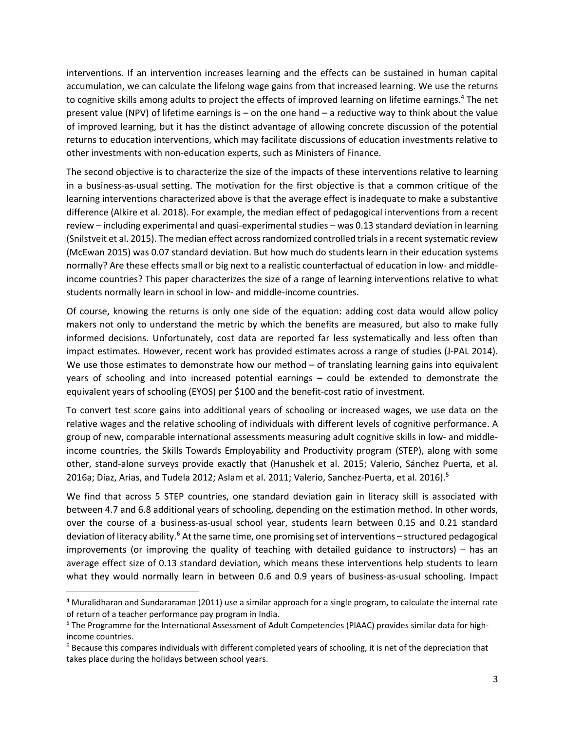interventions. If an intervention increases learning and the effects can be sustained in human capital accumulation, we can calculate the lifelong wage gains from that increased learning. We use the returns to cognitive skills among adults to project the effects of improved learning on lifetime earnings.<sup>4</sup> The net present value (NPV) of lifetime earnings is – on the one hand – a reductive way to think about the value of improved learning, but it has the distinct advantage of allowing concrete discussion of the potential returns to education interventions, which may facilitate discussions of education investments relative to other investments with non‐education experts, such as Ministers of Finance.

The second objective is to characterize the size of the impacts of these interventions relative to learning in a business-as-usual setting. The motivation for the first objective is that a common critique of the learning interventions characterized above is that the average effect is inadequate to make a substantive difference (Alkire et al. 2018). For example, the median effect of pedagogical interventions from a recent review – including experimental and quasi‐experimental studies – was 0.13 standard deviation in learning (Snilstveit et al. 2015). The median effect across randomized controlled trials in a recent systematic review (McEwan 2015) was 0.07 standard deviation. But how much do students learn in their education systems normally? Are these effects small or big next to a realistic counterfactual of education in low‐ and middle‐ income countries? This paper characterizes the size of a range of learning interventions relative to what students normally learn in school in low‐ and middle‐income countries.

Of course, knowing the returns is only one side of the equation: adding cost data would allow policy makers not only to understand the metric by which the benefits are measured, but also to make fully informed decisions. Unfortunately, cost data are reported far less systematically and less often than impact estimates. However, recent work has provided estimates across a range of studies (J‐PAL 2014). We use those estimates to demonstrate how our method - of translating learning gains into equivalent years of schooling and into increased potential earnings – could be extended to demonstrate the equivalent years of schooling (EYOS) per \$100 and the benefit-cost ratio of investment.

To convert test score gains into additional years of schooling or increased wages, we use data on the relative wages and the relative schooling of individuals with different levels of cognitive performance. A group of new, comparable international assessments measuring adult cognitive skills in low‐ and middle‐ income countries, the Skills Towards Employability and Productivity program (STEP), along with some other, stand‐alone surveys provide exactly that (Hanushek et al. 2015; Valerio, Sánchez Puerta, et al. 2016a; Díaz, Arias, and Tudela 2012; Aslam et al. 2011; Valerio, Sanchez-Puerta, et al. 2016).<sup>5</sup>

We find that across 5 STEP countries, one standard deviation gain in literacy skill is associated with between 4.7 and 6.8 additional years of schooling, depending on the estimation method. In other words, over the course of a business-as-usual school year, students learn between 0.15 and 0.21 standard deviation of literacy ability.<sup>6</sup> At the same time, one promising set of interventions – structured pedagogical improvements (or improving the quality of teaching with detailed guidance to instructors) – has an average effect size of 0.13 standard deviation, which means these interventions help students to learn what they would normally learn in between 0.6 and 0.9 years of business-as-usual schooling. Impact

<sup>&</sup>lt;sup>4</sup> Muralidharan and Sundararaman (2011) use a similar approach for a single program, to calculate the internal rate of return of a teacher performance pay program in India.

<sup>&</sup>lt;sup>5</sup> The Programme for the International Assessment of Adult Competencies (PIAAC) provides similar data for highincome countries.

<sup>&</sup>lt;sup>6</sup> Because this compares individuals with different completed years of schooling, it is net of the depreciation that takes place during the holidays between school years.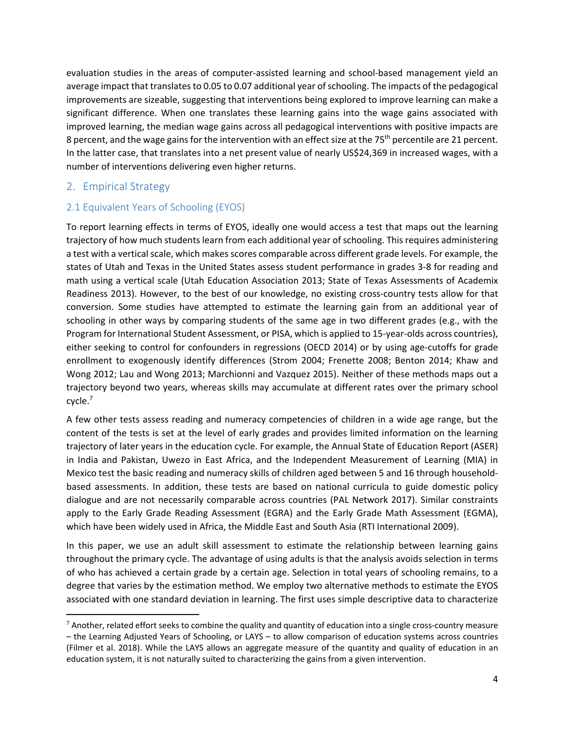evaluation studies in the areas of computer-assisted learning and school-based management yield an average impact that translates to 0.05 to 0.07 additional year of schooling. The impacts of the pedagogical improvements are sizeable, suggesting that interventions being explored to improve learning can make a significant difference. When one translates these learning gains into the wage gains associated with improved learning, the median wage gains across all pedagogical interventions with positive impacts are 8 percent, and the wage gains for the intervention with an effect size at the 75<sup>th</sup> percentile are 21 percent. In the latter case, that translates into a net present value of nearly US\$24,369 in increased wages, with a number of interventions delivering even higher returns.

#### 2. Empirical Strategy

#### 2.1 Equivalent Years of Schooling (EYOS)

To report learning effects in terms of EYOS, ideally one would access a test that maps out the learning trajectory of how much students learn from each additional year of schooling. This requires administering a test with a vertical scale, which makes scores comparable across different grade levels. For example, the states of Utah and Texas in the United States assess student performance in grades 3‐8 for reading and math using a vertical scale (Utah Education Association 2013; State of Texas Assessments of Academix Readiness 2013). However, to the best of our knowledge, no existing cross‐country tests allow for that conversion. Some studies have attempted to estimate the learning gain from an additional year of schooling in other ways by comparing students of the same age in two different grades (e.g., with the Program for International Student Assessment, or PISA, which is applied to 15‐year‐olds across countries), either seeking to control for confounders in regressions (OECD 2014) or by using age-cutoffs for grade enrollment to exogenously identify differences (Strom 2004; Frenette 2008; Benton 2014; Khaw and Wong 2012; Lau and Wong 2013; Marchionni and Vazquez 2015). Neither of these methods maps out a trajectory beyond two years, whereas skills may accumulate at different rates over the primary school cycle.7

A few other tests assess reading and numeracy competencies of children in a wide age range, but the content of the tests is set at the level of early grades and provides limited information on the learning trajectory of later years in the education cycle. For example, the Annual State of Education Report (ASER) in India and Pakistan, Uwezo in East Africa, and the Independent Measurement of Learning (MIA) in Mexico test the basic reading and numeracy skills of children aged between 5 and 16 through household‐ based assessments. In addition, these tests are based on national curricula to guide domestic policy dialogue and are not necessarily comparable across countries (PAL Network 2017). Similar constraints apply to the Early Grade Reading Assessment (EGRA) and the Early Grade Math Assessment (EGMA), which have been widely used in Africa, the Middle East and South Asia (RTI International 2009).

In this paper, we use an adult skill assessment to estimate the relationship between learning gains throughout the primary cycle. The advantage of using adults is that the analysis avoids selection in terms of who has achieved a certain grade by a certain age. Selection in total years of schooling remains, to a degree that varies by the estimation method. We employ two alternative methods to estimate the EYOS associated with one standard deviation in learning. The first uses simple descriptive data to characterize

<sup>&</sup>lt;sup>7</sup> Another, related effort seeks to combine the quality and quantity of education into a single cross-country measure – the Learning Adjusted Years of Schooling, or LAYS – to allow comparison of education systems across countries (Filmer et al. 2018). While the LAYS allows an aggregate measure of the quantity and quality of education in an education system, it is not naturally suited to characterizing the gains from a given intervention.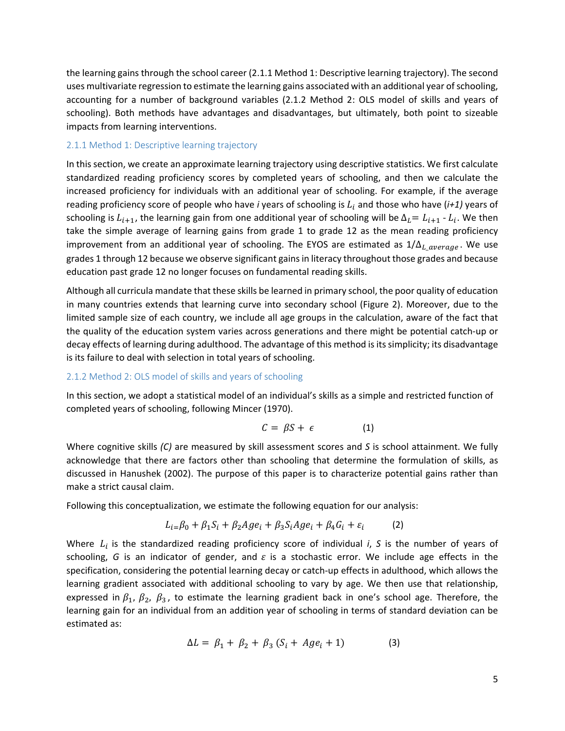the learning gains through the school career (2.1.1 Method 1: Descriptive learning trajectory). The second uses multivariate regression to estimate the learning gains associated with an additional year of schooling, accounting for a number of background variables (2.1.2 Method 2: OLS model of skills and years of schooling). Both methods have advantages and disadvantages, but ultimately, both point to sizeable impacts from learning interventions.

#### 2.1.1 Method 1: Descriptive learning trajectory

In this section, we create an approximate learning trajectory using descriptive statistics. We first calculate standardized reading proficiency scores by completed years of schooling, and then we calculate the increased proficiency for individuals with an additional year of schooling. For example, if the average reading proficiency score of people who have *i* years of schooling is  $L_i$  and those who have ( $i+1$ ) years of schooling is  $L_{i+1}$ , the learning gain from one additional year of schooling will be  $\Delta_l = L_{i+1} - L_i$ . We then take the simple average of learning gains from grade 1 to grade 12 as the mean reading proficiency improvement from an additional year of schooling. The EYOS are estimated as  $1/\Delta_L$   $_{average}$ . We use grades 1 through 12 because we observe significant gains in literacy throughout those grades and because education past grade 12 no longer focuses on fundamental reading skills.

Although all curricula mandate that these skills be learned in primary school, the poor quality of education in many countries extends that learning curve into secondary school (Figure 2). Moreover, due to the limited sample size of each country, we include all age groups in the calculation, aware of the fact that the quality of the education system varies across generations and there might be potential catch‐up or decay effects of learning during adulthood. The advantage of this method is its simplicity; its disadvantage is its failure to deal with selection in total years of schooling.

#### 2.1.2 Method 2: OLS model of skills and years of schooling

In this section, we adopt a statistical model of an individual's skills as a simple and restricted function of completed years of schooling, following Mincer (1970).

$$
C = \beta S + \epsilon \tag{1}
$$

Where cognitive skills *(C)* are measured by skill assessment scores and *S* is school attainment. We fully acknowledge that there are factors other than schooling that determine the formulation of skills, as discussed in Hanushek (2002). The purpose of this paper is to characterize potential gains rather than make a strict causal claim.

Following this conceptualization, we estimate the following equation for our analysis:

$$
L_{i} = \beta_0 + \beta_1 S_i + \beta_2 Age_i + \beta_3 S_i Age_i + \beta_4 G_i + \varepsilon_i \tag{2}
$$

Where  $L_i$  is the standardized reading proficiency score of individual  $i$ ,  $S$  is the number of years of schooling, G is an indicator of gender, and  $\varepsilon$  is a stochastic error. We include age effects in the specification, considering the potential learning decay or catch-up effects in adulthood, which allows the learning gradient associated with additional schooling to vary by age. We then use that relationship, expressed in  $\beta_1$ ,  $\beta_2$ ,  $\beta_3$ , to estimate the learning gradient back in one's school age. Therefore, the learning gain for an individual from an addition year of schooling in terms of standard deviation can be estimated as:

$$
\Delta L = \beta_1 + \beta_2 + \beta_3 \left( S_i + Age_i + 1 \right) \tag{3}
$$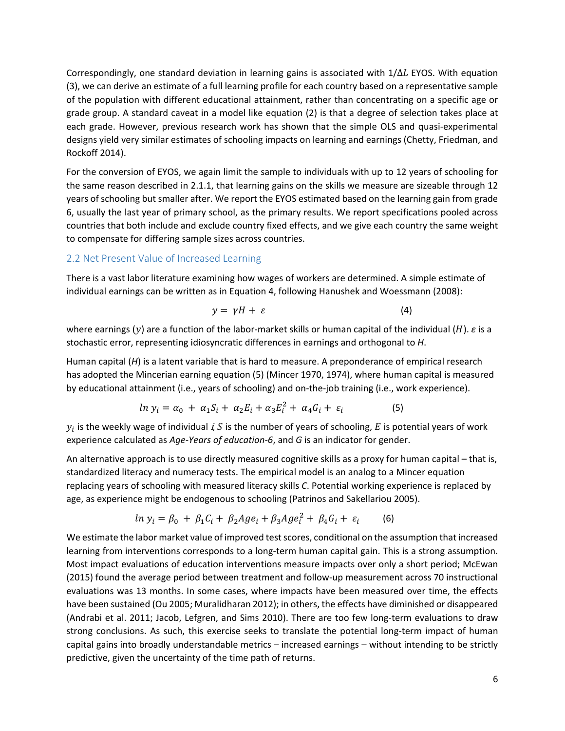Correspondingly, one standard deviation in learning gains is associated with  $1/\Delta L$  EYOS. With equation (3), we can derive an estimate of a full learning profile for each country based on a representative sample of the population with different educational attainment, rather than concentrating on a specific age or grade group. A standard caveat in a model like equation (2) is that a degree of selection takes place at each grade. However, previous research work has shown that the simple OLS and quasi-experimental designs yield very similar estimates of schooling impacts on learning and earnings (Chetty, Friedman, and Rockoff 2014).

For the conversion of EYOS, we again limit the sample to individuals with up to 12 years of schooling for the same reason described in 2.1.1, that learning gains on the skills we measure are sizeable through 12 years of schooling but smaller after. We report the EYOS estimated based on the learning gain from grade 6, usually the last year of primary school, as the primary results. We report specifications pooled across countries that both include and exclude country fixed effects, and we give each country the same weight to compensate for differing sample sizes across countries.

#### 2.2 Net Present Value of Increased Learning

There is a vast labor literature examining how wages of workers are determined. A simple estimate of individual earnings can be written as in Equation 4, following Hanushek and Woessmann (2008):

$$
y = \gamma H + \varepsilon \tag{4}
$$

where earnings (y) are a function of the labor-market skills or human capital of the individual (*H*). *ε* is a stochastic error, representing idiosyncratic differences in earnings and orthogonal to *H*.

Human capital (*H*) is a latent variable that is hard to measure. A preponderance of empirical research has adopted the Mincerian earning equation (5) (Mincer 1970, 1974), where human capital is measured by educational attainment (i.e., years of schooling) and on‐the‐job training (i.e., work experience).

$$
ln y_i = \alpha_0 + \alpha_1 S_i + \alpha_2 E_i + \alpha_3 E_i^2 + \alpha_4 G_i + \varepsilon_i
$$
\n<sup>(5)</sup>

 $y_i$  is the weekly wage of individual i, S is the number of years of schooling, E is potential years of work experience calculated as *Age‐Years of education‐6*, and *G* is an indicator for gender.

An alternative approach is to use directly measured cognitive skills as a proxy for human capital – that is, standardized literacy and numeracy tests. The empirical model is an analog to a Mincer equation replacing years of schooling with measured literacy skills *C*. Potential working experience is replaced by age, as experience might be endogenous to schooling (Patrinos and Sakellariou 2005).

$$
ln y_i = \beta_0 + \beta_1 C_i + \beta_2 Age_i + \beta_3 Age_i^2 + \beta_4 G_i + \varepsilon_i
$$
 (6)

We estimate the labor market value of improved test scores, conditional on the assumption that increased learning from interventions corresponds to a long-term human capital gain. This is a strong assumption. Most impact evaluations of education interventions measure impacts over only a short period; McEwan (2015) found the average period between treatment and follow‐up measurement across 70 instructional evaluations was 13 months. In some cases, where impacts have been measured over time, the effects have been sustained (Ou 2005; Muralidharan 2012); in others, the effects have diminished or disappeared (Andrabi et al. 2011; Jacob, Lefgren, and Sims 2010). There are too few long‐term evaluations to draw strong conclusions. As such, this exercise seeks to translate the potential long-term impact of human capital gains into broadly understandable metrics – increased earnings – without intending to be strictly predictive, given the uncertainty of the time path of returns.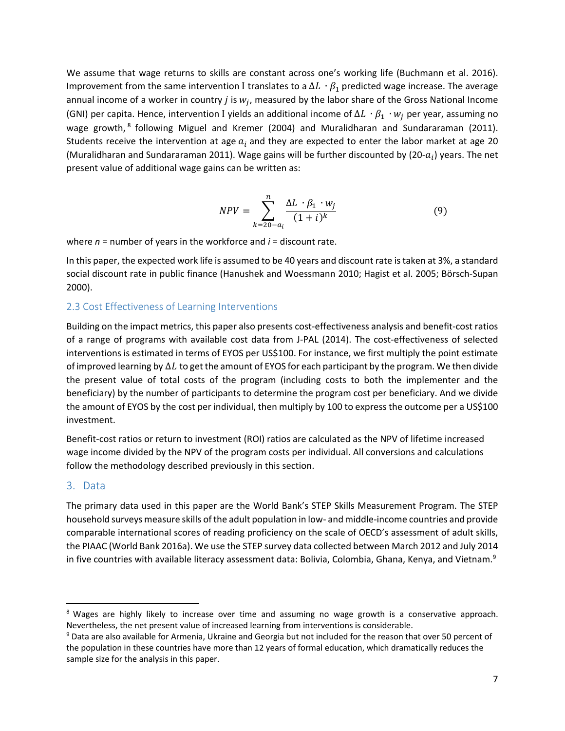We assume that wage returns to skills are constant across one's working life (Buchmann et al. 2016). Improvement from the same intervention I translates to a  $\Delta L \cdot \beta_1$  predicted wage increase. The average annual income of a worker in country *j* is  $w_j$ , measured by the labor share of the Gross National Income (GNI) per capita. Hence, intervention I yields an additional income of  $\Delta L \cdot \beta_1 \cdot w_i$  per year, assuming no wage growth, <sup>8</sup> following Miguel and Kremer (2004) and Muralidharan and Sundararaman (2011). Students receive the intervention at age  $a_i$  and they are expected to enter the labor market at age 20 (Muralidharan and Sundararaman 2011). Wage gains will be further discounted by (20- $a_i$ ) years. The net present value of additional wage gains can be written as:

$$
NPV = \sum_{k=20-a_i}^{n} \frac{\Delta L \cdot \beta_1 \cdot w_j}{(1+i)^k} \tag{9}
$$

where *n* = number of years in the workforce and *i* = discount rate.

In this paper, the expected work life is assumed to be 40 years and discount rate is taken at 3%, a standard social discount rate in public finance (Hanushek and Woessmann 2010; Hagist et al. 2005; Börsch‐Supan 2000).

#### 2.3 Cost Effectiveness of Learning Interventions

Building on the impact metrics, this paper also presents cost‐effectiveness analysis and benefit‐cost ratios of a range of programs with available cost data from J-PAL (2014). The cost-effectiveness of selected interventions is estimated in terms of EYOS per US\$100. For instance, we first multiply the point estimate of improved learning by  $\Delta L$  to get the amount of EYOS for each participant by the program. We then divide the present value of total costs of the program (including costs to both the implementer and the beneficiary) by the number of participants to determine the program cost per beneficiary. And we divide the amount of EYOS by the cost per individual, then multiply by 100 to express the outcome per a US\$100 investment.

Benefit-cost ratios or return to investment (ROI) ratios are calculated as the NPV of lifetime increased wage income divided by the NPV of the program costs per individual. All conversions and calculations follow the methodology described previously in this section.

#### 3. Data

The primary data used in this paper are the World Bank's STEP Skills Measurement Program. The STEP household surveys measure skills of the adult population in low‐ and middle‐income countries and provide comparable international scores of reading proficiency on the scale of OECD's assessment of adult skills, the PIAAC (World Bank 2016a). We use the STEP survey data collected between March 2012 and July 2014 in five countries with available literacy assessment data: Bolivia, Colombia, Ghana, Kenya, and Vietnam.<sup>9</sup>

<sup>&</sup>lt;sup>8</sup> Wages are highly likely to increase over time and assuming no wage growth is a conservative approach. Nevertheless, the net present value of increased learning from interventions is considerable.

<sup>&</sup>lt;sup>9</sup> Data are also available for Armenia, Ukraine and Georgia but not included for the reason that over 50 percent of the population in these countries have more than 12 years of formal education, which dramatically reduces the sample size for the analysis in this paper.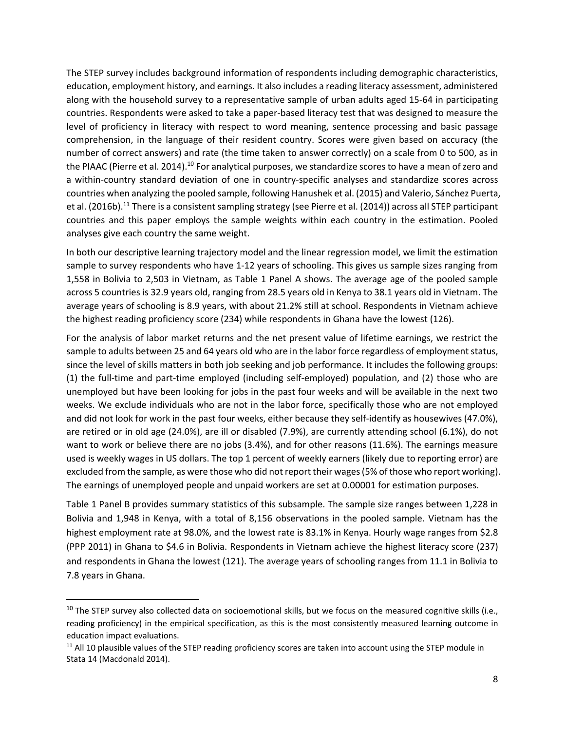The STEP survey includes background information of respondents including demographic characteristics, education, employment history, and earnings. It also includes a reading literacy assessment, administered along with the household survey to a representative sample of urban adults aged 15‐64 in participating countries. Respondents were asked to take a paper‐based literacy test that was designed to measure the level of proficiency in literacy with respect to word meaning, sentence processing and basic passage comprehension, in the language of their resident country. Scores were given based on accuracy (the number of correct answers) and rate (the time taken to answer correctly) on a scale from 0 to 500, as in the PIAAC (Pierre et al. 2014).<sup>10</sup> For analytical purposes, we standardize scores to have a mean of zero and a within‐country standard deviation of one in country‐specific analyses and standardize scores across countries when analyzing the pooled sample, following Hanushek et al. (2015) and Valerio, Sánchez Puerta, et al. (2016b).<sup>11</sup> There is a consistent sampling strategy (see Pierre et al. (2014)) across all STEP participant countries and this paper employs the sample weights within each country in the estimation. Pooled analyses give each country the same weight.

In both our descriptive learning trajectory model and the linear regression model, we limit the estimation sample to survey respondents who have 1-12 years of schooling. This gives us sample sizes ranging from 1,558 in Bolivia to 2,503 in Vietnam, as Table 1 Panel A shows. The average age of the pooled sample across 5 countries is 32.9 years old, ranging from 28.5 years old in Kenya to 38.1 years old in Vietnam. The average years of schooling is 8.9 years, with about 21.2% still at school. Respondents in Vietnam achieve the highest reading proficiency score (234) while respondents in Ghana have the lowest (126).

For the analysis of labor market returns and the net present value of lifetime earnings, we restrict the sample to adults between 25 and 64 years old who are in the labor force regardless of employment status, since the level of skills matters in both job seeking and job performance. It includes the following groups: (1) the full‐time and part‐time employed (including self‐employed) population, and (2) those who are unemployed but have been looking for jobs in the past four weeks and will be available in the next two weeks. We exclude individuals who are not in the labor force, specifically those who are not employed and did not look for work in the past four weeks, either because they self-identify as housewives (47.0%), are retired or in old age (24.0%), are ill or disabled (7.9%), are currently attending school (6.1%), do not want to work or believe there are no jobs (3.4%), and for other reasons (11.6%). The earnings measure used is weekly wages in US dollars. The top 1 percent of weekly earners (likely due to reporting error) are excluded from the sample, as were those who did not report their wages (5% of those who report working). The earnings of unemployed people and unpaid workers are set at 0.00001 for estimation purposes.

Table 1 Panel B provides summary statistics of this subsample. The sample size ranges between 1,228 in Bolivia and 1,948 in Kenya, with a total of 8,156 observations in the pooled sample. Vietnam has the highest employment rate at 98.0%, and the lowest rate is 83.1% in Kenya. Hourly wage ranges from \$2.8 (PPP 2011) in Ghana to \$4.6 in Bolivia. Respondents in Vietnam achieve the highest literacy score (237) and respondents in Ghana the lowest (121). The average years of schooling ranges from 11.1 in Bolivia to 7.8 years in Ghana.

 $10$  The STEP survey also collected data on socioemotional skills, but we focus on the measured cognitive skills (i.e., reading proficiency) in the empirical specification, as this is the most consistently measured learning outcome in education impact evaluations.

 $11$  All 10 plausible values of the STEP reading proficiency scores are taken into account using the STEP module in Stata 14 (Macdonald 2014).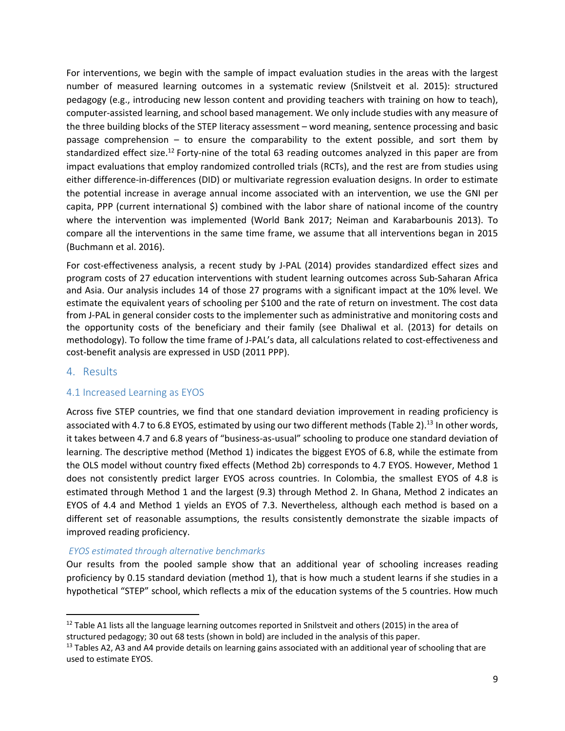For interventions, we begin with the sample of impact evaluation studies in the areas with the largest number of measured learning outcomes in a systematic review (Snilstveit et al. 2015): structured pedagogy (e.g., introducing new lesson content and providing teachers with training on how to teach), computer‐assisted learning, and school based management. We only include studies with any measure of the three building blocks of the STEP literacy assessment – word meaning, sentence processing and basic passage comprehension  $-$  to ensure the comparability to the extent possible, and sort them by standardized effect size.<sup>12</sup> Forty-nine of the total 63 reading outcomes analyzed in this paper are from impact evaluations that employ randomized controlled trials (RCTs), and the rest are from studies using either difference-in-differences (DID) or multivariate regression evaluation designs. In order to estimate the potential increase in average annual income associated with an intervention, we use the GNI per capita, PPP (current international \$) combined with the labor share of national income of the country where the intervention was implemented (World Bank 2017; Neiman and Karabarbounis 2013). To compare all the interventions in the same time frame, we assume that all interventions began in 2015 (Buchmann et al. 2016).

For cost-effectiveness analysis, a recent study by J-PAL (2014) provides standardized effect sizes and program costs of 27 education interventions with student learning outcomes across Sub‐Saharan Africa and Asia. Our analysis includes 14 of those 27 programs with a significant impact at the 10% level. We estimate the equivalent years of schooling per \$100 and the rate of return on investment. The cost data from J-PAL in general consider costs to the implementer such as administrative and monitoring costs and the opportunity costs of the beneficiary and their family (see Dhaliwal et al. (2013) for details on methodology). To follow the time frame of J-PAL's data, all calculations related to cost-effectiveness and cost‐benefit analysis are expressed in USD (2011 PPP).

#### 4. Results

#### 4.1 Increased Learning as EYOS

Across five STEP countries, we find that one standard deviation improvement in reading proficiency is associated with 4.7 to 6.8 EYOS, estimated by using our two different methods (Table 2).<sup>13</sup> In other words, it takes between 4.7 and 6.8 years of "business‐as‐usual" schooling to produce one standard deviation of learning. The descriptive method (Method 1) indicates the biggest EYOS of 6.8, while the estimate from the OLS model without country fixed effects (Method 2b) corresponds to 4.7 EYOS. However, Method 1 does not consistently predict larger EYOS across countries. In Colombia, the smallest EYOS of 4.8 is estimated through Method 1 and the largest (9.3) through Method 2. In Ghana, Method 2 indicates an EYOS of 4.4 and Method 1 yields an EYOS of 7.3. Nevertheless, although each method is based on a different set of reasonable assumptions, the results consistently demonstrate the sizable impacts of improved reading proficiency.

#### *EYOS estimated through alternative benchmarks*

Our results from the pooled sample show that an additional year of schooling increases reading proficiency by 0.15 standard deviation (method 1), that is how much a student learns if she studies in a hypothetical "STEP" school, which reflects a mix of the education systems of the 5 countries. How much

 $12$  Table A1 lists all the language learning outcomes reported in Snilstveit and others (2015) in the area of structured pedagogy; 30 out 68 tests (shown in bold) are included in the analysis of this paper.

<sup>&</sup>lt;sup>13</sup> Tables A2, A3 and A4 provide details on learning gains associated with an additional year of schooling that are used to estimate EYOS.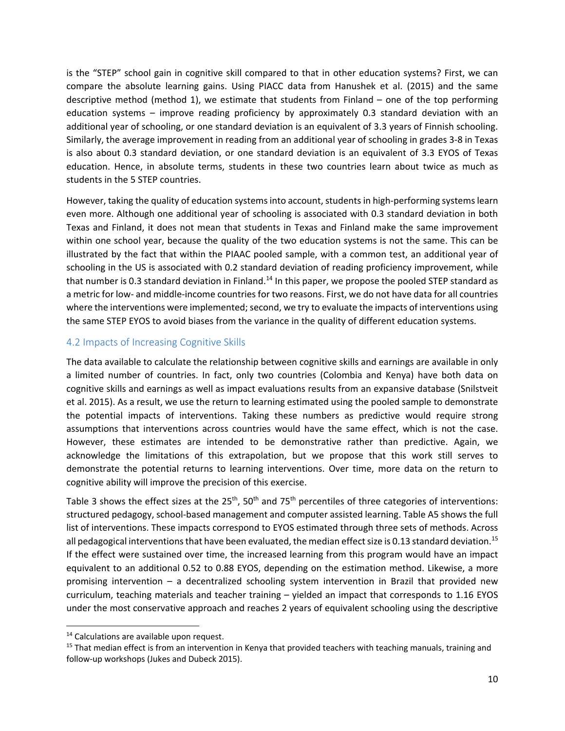is the "STEP" school gain in cognitive skill compared to that in other education systems? First, we can compare the absolute learning gains. Using PIACC data from Hanushek et al. (2015) and the same descriptive method (method 1), we estimate that students from Finland – one of the top performing education systems – improve reading proficiency by approximately 0.3 standard deviation with an additional year of schooling, or one standard deviation is an equivalent of 3.3 years of Finnish schooling. Similarly, the average improvement in reading from an additional year of schooling in grades 3‐8 in Texas is also about 0.3 standard deviation, or one standard deviation is an equivalent of 3.3 EYOS of Texas education. Hence, in absolute terms, students in these two countries learn about twice as much as students in the 5 STEP countries.

However, taking the quality of education systems into account, students in high-performing systems learn even more. Although one additional year of schooling is associated with 0.3 standard deviation in both Texas and Finland, it does not mean that students in Texas and Finland make the same improvement within one school year, because the quality of the two education systems is not the same. This can be illustrated by the fact that within the PIAAC pooled sample, with a common test, an additional year of schooling in the US is associated with 0.2 standard deviation of reading proficiency improvement, while that number is 0.3 standard deviation in Finland.<sup>14</sup> In this paper, we propose the pooled STEP standard as a metric for low‐ and middle‐income countries for two reasons. First, we do not have data for all countries where the interventions were implemented; second, we try to evaluate the impacts of interventions using the same STEP EYOS to avoid biases from the variance in the quality of different education systems.

#### 4.2 Impacts of Increasing Cognitive Skills

The data available to calculate the relationship between cognitive skills and earnings are available in only a limited number of countries. In fact, only two countries (Colombia and Kenya) have both data on cognitive skills and earnings as well as impact evaluations results from an expansive database (Snilstveit et al. 2015). As a result, we use the return to learning estimated using the pooled sample to demonstrate the potential impacts of interventions. Taking these numbers as predictive would require strong assumptions that interventions across countries would have the same effect, which is not the case. However, these estimates are intended to be demonstrative rather than predictive. Again, we acknowledge the limitations of this extrapolation, but we propose that this work still serves to demonstrate the potential returns to learning interventions. Over time, more data on the return to cognitive ability will improve the precision of this exercise.

Table 3 shows the effect sizes at the 25<sup>th</sup>, 50<sup>th</sup> and 75<sup>th</sup> percentiles of three categories of interventions: structured pedagogy, school‐based management and computer assisted learning. Table A5 shows the full list of interventions. These impacts correspond to EYOS estimated through three sets of methods. Across all pedagogical interventions that have been evaluated, the median effect size is 0.13 standard deviation.<sup>15</sup> If the effect were sustained over time, the increased learning from this program would have an impact equivalent to an additional 0.52 to 0.88 EYOS, depending on the estimation method. Likewise, a more promising intervention – a decentralized schooling system intervention in Brazil that provided new curriculum, teaching materials and teacher training – yielded an impact that corresponds to 1.16 EYOS under the most conservative approach and reaches 2 years of equivalent schooling using the descriptive

<sup>&</sup>lt;sup>14</sup> Calculations are available upon request.

<sup>&</sup>lt;sup>15</sup> That median effect is from an intervention in Kenya that provided teachers with teaching manuals, training and follow‐up workshops (Jukes and Dubeck 2015).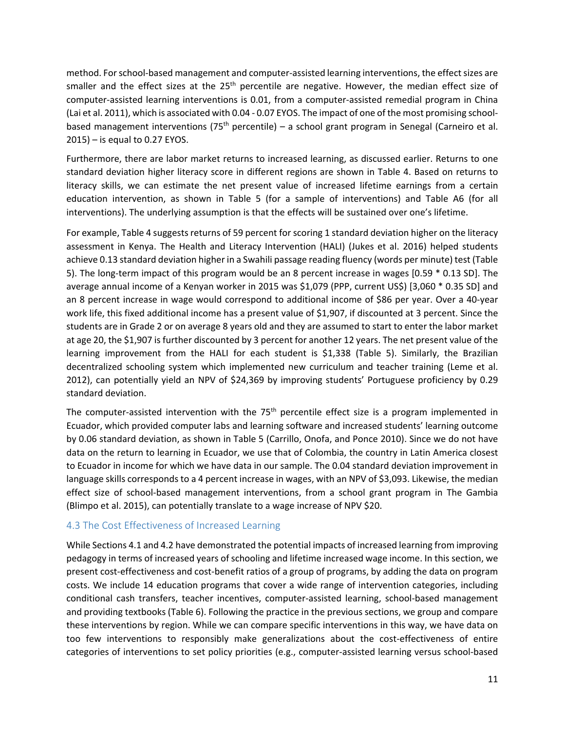method. For school‐based management and computer‐assisted learning interventions, the effect sizes are smaller and the effect sizes at the 25<sup>th</sup> percentile are negative. However, the median effect size of computer-assisted learning interventions is 0.01, from a computer-assisted remedial program in China (Lai et al. 2011), which is associated with 0.04 ‐ 0.07 EYOS. The impact of one of the most promising school‐ based management interventions (75<sup>th</sup> percentile) – a school grant program in Senegal (Carneiro et al. 2015) – is equal to 0.27 EYOS.

Furthermore, there are labor market returns to increased learning, as discussed earlier. Returns to one standard deviation higher literacy score in different regions are shown in Table 4. Based on returns to literacy skills, we can estimate the net present value of increased lifetime earnings from a certain education intervention, as shown in Table 5 (for a sample of interventions) and Table A6 (for all interventions). The underlying assumption is that the effects will be sustained over one's lifetime.

For example, Table 4 suggests returns of 59 percent for scoring 1 standard deviation higher on the literacy assessment in Kenya. The Health and Literacy Intervention (HALI) (Jukes et al. 2016) helped students achieve 0.13 standard deviation higher in a Swahili passage reading fluency (words per minute) test (Table 5). The long-term impact of this program would be an 8 percent increase in wages [0.59  $*$  0.13 SD]. The average annual income of a Kenyan worker in 2015 was \$1,079 (PPP, current US\$) [3,060 \* 0.35 SD] and an 8 percent increase in wage would correspond to additional income of \$86 per year. Over a 40‐year work life, this fixed additional income has a present value of \$1,907, if discounted at 3 percent. Since the students are in Grade 2 or on average 8 years old and they are assumed to start to enter the labor market at age 20, the \$1,907 is further discounted by 3 percent for another 12 years. The net present value of the learning improvement from the HALI for each student is \$1,338 (Table 5). Similarly, the Brazilian decentralized schooling system which implemented new curriculum and teacher training (Leme et al. 2012), can potentially yield an NPV of \$24,369 by improving students' Portuguese proficiency by 0.29 standard deviation.

The computer-assisted intervention with the  $75<sup>th</sup>$  percentile effect size is a program implemented in Ecuador, which provided computer labs and learning software and increased students' learning outcome by 0.06 standard deviation, as shown in Table 5 (Carrillo, Onofa, and Ponce 2010). Since we do not have data on the return to learning in Ecuador, we use that of Colombia, the country in Latin America closest to Ecuador in income for which we have data in our sample. The 0.04 standard deviation improvement in language skills corresponds to a 4 percent increase in wages, with an NPV of \$3,093. Likewise, the median effect size of school-based management interventions, from a school grant program in The Gambia (Blimpo et al. 2015), can potentially translate to a wage increase of NPV \$20.

#### 4.3 The Cost Effectiveness of Increased Learning

While Sections 4.1 and 4.2 have demonstrated the potential impacts of increased learning from improving pedagogy in terms of increased years of schooling and lifetime increased wage income. In this section, we present cost‐effectiveness and cost‐benefit ratios of a group of programs, by adding the data on program costs. We include 14 education programs that cover a wide range of intervention categories, including conditional cash transfers, teacher incentives, computer‐assisted learning, school‐based management and providing textbooks (Table 6). Following the practice in the previous sections, we group and compare these interventions by region. While we can compare specific interventions in this way, we have data on too few interventions to responsibly make generalizations about the cost-effectiveness of entire categories of interventions to set policy priorities (e.g., computer‐assisted learning versus school‐based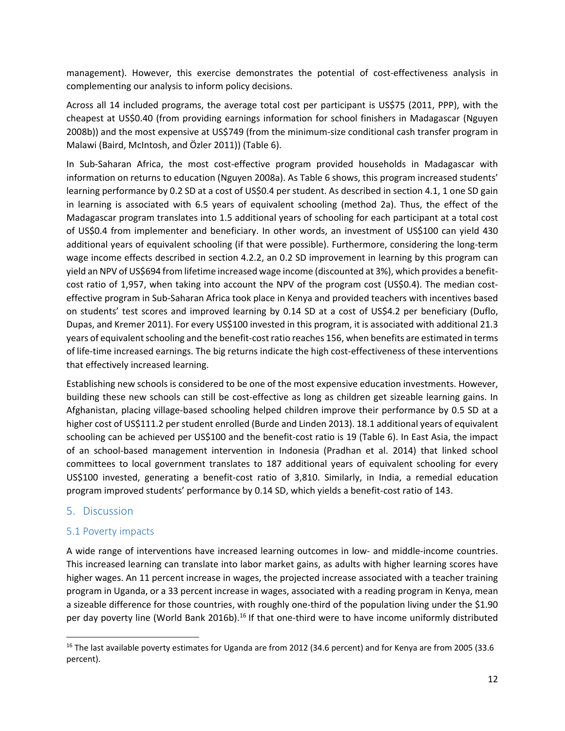management). However, this exercise demonstrates the potential of cost-effectiveness analysis in complementing our analysis to inform policy decisions.

Across all 14 included programs, the average total cost per participant is US\$75 (2011, PPP), with the cheapest at US\$0.40 (from providing earnings information for school finishers in Madagascar (Nguyen 2008b)) and the most expensive at US\$749 (from the minimum‐size conditional cash transfer program in Malawi (Baird, McIntosh, and Özler 2011)) (Table 6).

In Sub-Saharan Africa, the most cost-effective program provided households in Madagascar with information on returns to education (Nguyen 2008a). As Table 6 shows, this program increased students' learning performance by 0.2 SD at a cost of US\$0.4 per student. As described in section 4.1, 1 one SD gain in learning is associated with 6.5 years of equivalent schooling (method 2a). Thus, the effect of the Madagascar program translates into 1.5 additional years of schooling for each participant at a total cost of US\$0.4 from implementer and beneficiary. In other words, an investment of US\$100 can yield 430 additional years of equivalent schooling (if that were possible). Furthermore, considering the long‐term wage income effects described in section 4.2.2, an 0.2 SD improvement in learning by this program can yield an NPV of US\$694 from lifetime increased wage income (discounted at 3%), which provides a benefit‐ cost ratio of 1,957, when taking into account the NPV of the program cost (US\$0.4). The median costeffective program in Sub‐Saharan Africa took place in Kenya and provided teachers with incentives based on students' test scores and improved learning by 0.14 SD at a cost of US\$4.2 per beneficiary (Duflo, Dupas, and Kremer 2011). For every US\$100 invested in this program, it is associated with additional 21.3 years of equivalent schooling and the benefit‐cost ratio reaches 156, when benefits are estimated in terms of life‐time increased earnings. The big returns indicate the high cost‐effectiveness of these interventions that effectively increased learning.

Establishing new schools is considered to be one of the most expensive education investments. However, building these new schools can still be cost-effective as long as children get sizeable learning gains. In Afghanistan, placing village‐based schooling helped children improve their performance by 0.5 SD at a higher cost of US\$111.2 per student enrolled (Burde and Linden 2013). 18.1 additional years of equivalent schooling can be achieved per US\$100 and the benefit‐cost ratio is 19 (Table 6). In East Asia, the impact of an school‐based management intervention in Indonesia (Pradhan et al. 2014) that linked school committees to local government translates to 187 additional years of equivalent schooling for every US\$100 invested, generating a benefit‐cost ratio of 3,810. Similarly, in India, a remedial education program improved students' performance by 0.14 SD, which yields a benefit‐cost ratio of 143.

#### 5. Discussion

#### 5.1 Poverty impacts

A wide range of interventions have increased learning outcomes in low‐ and middle‐income countries. This increased learning can translate into labor market gains, as adults with higher learning scores have higher wages. An 11 percent increase in wages, the projected increase associated with a teacher training program in Uganda, or a 33 percent increase in wages, associated with a reading program in Kenya, mean a sizeable difference for those countries, with roughly one-third of the population living under the \$1.90 per day poverty line (World Bank 2016b).<sup>16</sup> If that one-third were to have income uniformly distributed

<sup>&</sup>lt;sup>16</sup> The last available poverty estimates for Uganda are from 2012 (34.6 percent) and for Kenya are from 2005 (33.6 percent).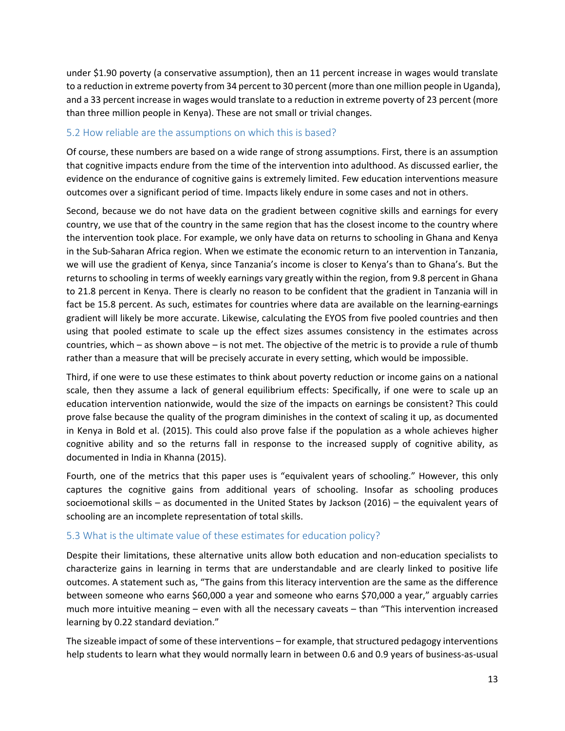under \$1.90 poverty (a conservative assumption), then an 11 percent increase in wages would translate to a reduction in extreme poverty from 34 percent to 30 percent (more than one million people in Uganda), and a 33 percent increase in wages would translate to a reduction in extreme poverty of 23 percent (more than three million people in Kenya). These are not small or trivial changes.

#### 5.2 How reliable are the assumptions on which this is based?

Of course, these numbers are based on a wide range of strong assumptions. First, there is an assumption that cognitive impacts endure from the time of the intervention into adulthood. As discussed earlier, the evidence on the endurance of cognitive gains is extremely limited. Few education interventions measure outcomes over a significant period of time. Impacts likely endure in some cases and not in others.

Second, because we do not have data on the gradient between cognitive skills and earnings for every country, we use that of the country in the same region that has the closest income to the country where the intervention took place. For example, we only have data on returns to schooling in Ghana and Kenya in the Sub‐Saharan Africa region. When we estimate the economic return to an intervention in Tanzania, we will use the gradient of Kenya, since Tanzania's income is closer to Kenya's than to Ghana's. But the returns to schooling in terms of weekly earnings vary greatly within the region, from 9.8 percent in Ghana to 21.8 percent in Kenya. There is clearly no reason to be confident that the gradient in Tanzania will in fact be 15.8 percent. As such, estimates for countries where data are available on the learning-earnings gradient will likely be more accurate. Likewise, calculating the EYOS from five pooled countries and then using that pooled estimate to scale up the effect sizes assumes consistency in the estimates across countries, which – as shown above – is not met. The objective of the metric is to provide a rule of thumb rather than a measure that will be precisely accurate in every setting, which would be impossible.

Third, if one were to use these estimates to think about poverty reduction or income gains on a national scale, then they assume a lack of general equilibrium effects: Specifically, if one were to scale up an education intervention nationwide, would the size of the impacts on earnings be consistent? This could prove false because the quality of the program diminishes in the context of scaling it up, as documented in Kenya in Bold et al. (2015). This could also prove false if the population as a whole achieves higher cognitive ability and so the returns fall in response to the increased supply of cognitive ability, as documented in India in Khanna (2015).

Fourth, one of the metrics that this paper uses is "equivalent years of schooling." However, this only captures the cognitive gains from additional years of schooling. Insofar as schooling produces socioemotional skills – as documented in the United States by Jackson (2016) – the equivalent years of schooling are an incomplete representation of total skills.

#### 5.3 What is the ultimate value of these estimates for education policy?

Despite their limitations, these alternative units allow both education and non‐education specialists to characterize gains in learning in terms that are understandable and are clearly linked to positive life outcomes. A statement such as, "The gains from this literacy intervention are the same as the difference between someone who earns \$60,000 a year and someone who earns \$70,000 a year," arguably carries much more intuitive meaning – even with all the necessary caveats – than "This intervention increased learning by 0.22 standard deviation."

The sizeable impact of some of these interventions – for example, that structured pedagogy interventions help students to learn what they would normally learn in between 0.6 and 0.9 years of business-as-usual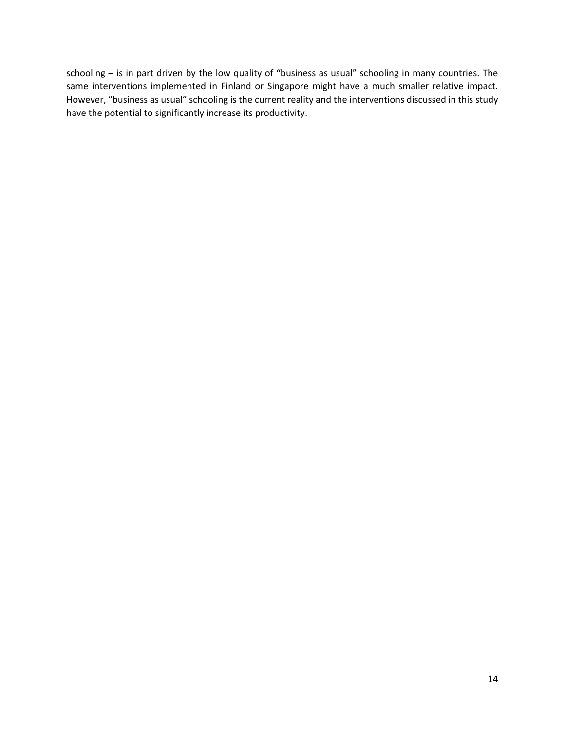schooling – is in part driven by the low quality of "business as usual" schooling in many countries. The same interventions implemented in Finland or Singapore might have a much smaller relative impact. However, "business as usual" schooling is the current reality and the interventions discussed in this study have the potential to significantly increase its productivity.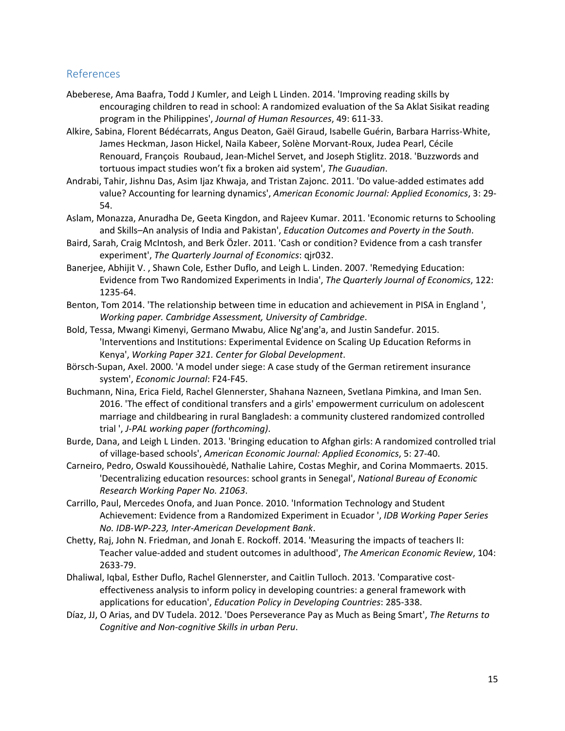#### References

- Abeberese, Ama Baafra, Todd J Kumler, and Leigh L Linden. 2014. 'Improving reading skills by encouraging children to read in school: A randomized evaluation of the Sa Aklat Sisikat reading program in the Philippines', *Journal of Human Resources*, 49: 611‐33.
- Alkire, Sabina, Florent Bédécarrats, Angus Deaton, Gaël Giraud, Isabelle Guérin, Barbara Harriss‐White, James Heckman, Jason Hickel, Naila Kabeer, Solène Morvant‐Roux, Judea Pearl, Cécile Renouard, François Roubaud, Jean‐Michel Servet, and Joseph Stiglitz. 2018. 'Buzzwords and tortuous impact studies won't fix a broken aid system', *The Guaudian*.
- Andrabi, Tahir, Jishnu Das, Asim Ijaz Khwaja, and Tristan Zajonc. 2011. 'Do value‐added estimates add value? Accounting for learning dynamics', *American Economic Journal: Applied Economics*, 3: 29‐ 54.
- Aslam, Monazza, Anuradha De, Geeta Kingdon, and Rajeev Kumar. 2011. 'Economic returns to Schooling and Skills–An analysis of India and Pakistan', *Education Outcomes and Poverty in the South*.
- Baird, Sarah, Craig McIntosh, and Berk Özler. 2011. 'Cash or condition? Evidence from a cash transfer experiment', *The Quarterly Journal of Economics*: qjr032.
- Banerjee, Abhijit V. , Shawn Cole, Esther Duflo, and Leigh L. Linden. 2007. 'Remedying Education: Evidence from Two Randomized Experiments in India', *The Quarterly Journal of Economics*, 122: 1235‐64.
- Benton, Tom 2014. 'The relationship between time in education and achievement in PISA in England ', *Working paper. Cambridge Assessment, University of Cambridge*.
- Bold, Tessa, Mwangi Kimenyi, Germano Mwabu, Alice Ng'ang'a, and Justin Sandefur. 2015. 'Interventions and Institutions: Experimental Evidence on Scaling Up Education Reforms in Kenya', *Working Paper 321. Center for Global Development*.
- Börsch‐Supan, Axel. 2000. 'A model under siege: A case study of the German retirement insurance system', *Economic Journal*: F24‐F45.
- Buchmann, Nina, Erica Field, Rachel Glennerster, Shahana Nazneen, Svetlana Pimkina, and Iman Sen. 2016. 'The effect of conditional transfers and a girls' empowerment curriculum on adolescent marriage and childbearing in rural Bangladesh: a community clustered randomized controlled trial ', *J‐PAL working paper (forthcoming)*.
- Burde, Dana, and Leigh L Linden. 2013. 'Bringing education to Afghan girls: A randomized controlled trial of village‐based schools', *American Economic Journal: Applied Economics*, 5: 27‐40.
- Carneiro, Pedro, Oswald Koussihouèdé, Nathalie Lahire, Costas Meghir, and Corina Mommaerts. 2015. 'Decentralizing education resources: school grants in Senegal', *National Bureau of Economic Research Working Paper No. 21063*.
- Carrillo, Paul, Mercedes Onofa, and Juan Ponce. 2010. 'Information Technology and Student Achievement: Evidence from a Randomized Experiment in Ecuador ', *IDB Working Paper Series No. IDB‐WP‐223, Inter‐American Development Bank*.
- Chetty, Raj, John N. Friedman, and Jonah E. Rockoff. 2014. 'Measuring the impacts of teachers II: Teacher value‐added and student outcomes in adulthood', *The American Economic Review*, 104: 2633‐79.
- Dhaliwal, Iqbal, Esther Duflo, Rachel Glennerster, and Caitlin Tulloch. 2013. 'Comparative cost‐ effectiveness analysis to inform policy in developing countries: a general framework with applications for education', *Education Policy in Developing Countries*: 285‐338.
- Díaz, JJ, O Arias, and DV Tudela. 2012. 'Does Perseverance Pay as Much as Being Smart', *The Returns to Cognitive and Non‐cognitive Skills in urban Peru*.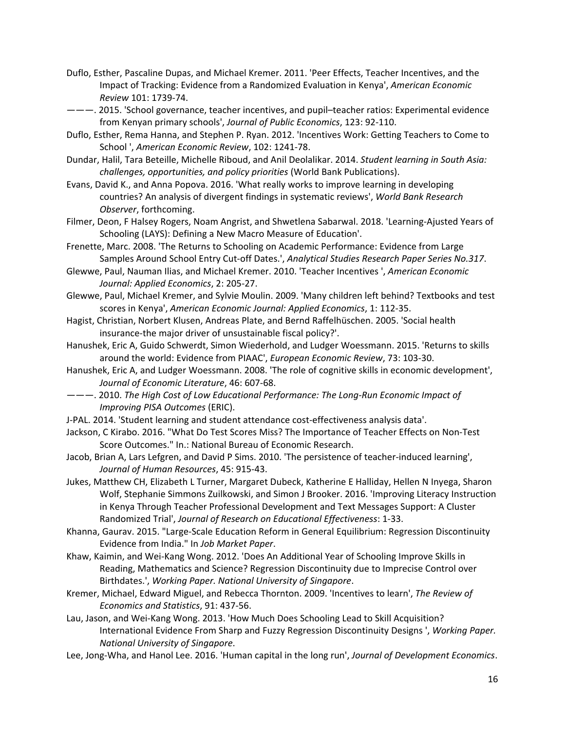- Duflo, Esther, Pascaline Dupas, and Michael Kremer. 2011. 'Peer Effects, Teacher Incentives, and the Impact of Tracking: Evidence from a Randomized Evaluation in Kenya', *American Economic Review* 101: 1739‐74.
- ———. 2015. 'School governance, teacher incentives, and pupil–teacher ratios: Experimental evidence from Kenyan primary schools', *Journal of Public Economics*, 123: 92‐110.
- Duflo, Esther, Rema Hanna, and Stephen P. Ryan. 2012. 'Incentives Work: Getting Teachers to Come to School ', *American Economic Review*, 102: 1241‐78.
- Dundar, Halil, Tara Beteille, Michelle Riboud, and Anil Deolalikar. 2014. *Student learning in South Asia: challenges, opportunities, and policy priorities* (World Bank Publications).
- Evans, David K., and Anna Popova. 2016. 'What really works to improve learning in developing countries? An analysis of divergent findings in systematic reviews', *World Bank Research Observer*, forthcoming.
- Filmer, Deon, F Halsey Rogers, Noam Angrist, and Shwetlena Sabarwal. 2018. 'Learning‐Ajusted Years of Schooling (LAYS): Defining a New Macro Measure of Education'.
- Frenette, Marc. 2008. 'The Returns to Schooling on Academic Performance: Evidence from Large Samples Around School Entry Cut‐off Dates.', *Analytical Studies Research Paper Series No.317*.
- Glewwe, Paul, Nauman Ilias, and Michael Kremer. 2010. 'Teacher Incentives ', *American Economic Journal: Applied Economics*, 2: 205‐27.
- Glewwe, Paul, Michael Kremer, and Sylvie Moulin. 2009. 'Many children left behind? Textbooks and test scores in Kenya', *American Economic Journal: Applied Economics*, 1: 112‐35.
- Hagist, Christian, Norbert Klusen, Andreas Plate, and Bernd Raffelhüschen. 2005. 'Social health insurance‐the major driver of unsustainable fiscal policy?'.
- Hanushek, Eric A, Guido Schwerdt, Simon Wiederhold, and Ludger Woessmann. 2015. 'Returns to skills around the world: Evidence from PIAAC', *European Economic Review*, 73: 103‐30.
- Hanushek, Eric A, and Ludger Woessmann. 2008. 'The role of cognitive skills in economic development', *Journal of Economic Literature*, 46: 607‐68.
- ———. 2010. *The High Cost of Low Educational Performance: The Long‐Run Economic Impact of Improving PISA Outcomes* (ERIC).
- J-PAL. 2014. 'Student learning and student attendance cost-effectiveness analysis data'.
- Jackson, C Kirabo. 2016. "What Do Test Scores Miss? The Importance of Teacher Effects on Non‐Test Score Outcomes." In.: National Bureau of Economic Research.
- Jacob, Brian A, Lars Lefgren, and David P Sims. 2010. 'The persistence of teacher-induced learning', *Journal of Human Resources*, 45: 915‐43.
- Jukes, Matthew CH, Elizabeth L Turner, Margaret Dubeck, Katherine E Halliday, Hellen N Inyega, Sharon Wolf, Stephanie Simmons Zuilkowski, and Simon J Brooker. 2016. 'Improving Literacy Instruction in Kenya Through Teacher Professional Development and Text Messages Support: A Cluster Randomized Trial', *Journal of Research on Educational Effectiveness*: 1‐33.
- Khanna, Gaurav. 2015. "Large‐Scale Education Reform in General Equilibrium: Regression Discontinuity Evidence from India." In *Job Market Paper*.
- Khaw, Kaimin, and Wei-Kang Wong. 2012. 'Does An Additional Year of Schooling Improve Skills in Reading, Mathematics and Science? Regression Discontinuity due to Imprecise Control over Birthdates.', *Working Paper. National University of Singapore*.
- Kremer, Michael, Edward Miguel, and Rebecca Thornton. 2009. 'Incentives to learn', *The Review of Economics and Statistics*, 91: 437‐56.
- Lau, Jason, and Wei-Kang Wong. 2013. 'How Much Does Schooling Lead to Skill Acquisition? International Evidence From Sharp and Fuzzy Regression Discontinuity Designs ', *Working Paper. National University of Singapore*.
- Lee, Jong‐Wha, and Hanol Lee. 2016. 'Human capital in the long run', *Journal of Development Economics*.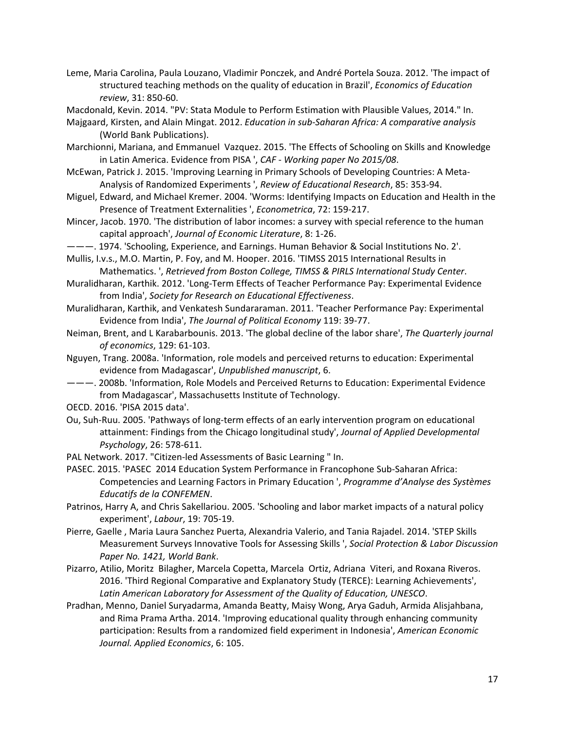Leme, Maria Carolina, Paula Louzano, Vladimir Ponczek, and André Portela Souza. 2012. 'The impact of structured teaching methods on the quality of education in Brazil', *Economics of Education review*, 31: 850‐60.

Macdonald, Kevin. 2014. "PV: Stata Module to Perform Estimation with Plausible Values, 2014." In.

- Majgaard, Kirsten, and Alain Mingat. 2012. *Education in sub‐Saharan Africa: A comparative analysis* (World Bank Publications).
- Marchionni, Mariana, and Emmanuel Vazquez. 2015. 'The Effects of Schooling on Skills and Knowledge in Latin America. Evidence from PISA ', *CAF ‐ Working paper No 2015/08*.
- McEwan, Patrick J. 2015. 'Improving Learning in Primary Schools of Developing Countries: A Meta‐ Analysis of Randomized Experiments ', *Review of Educational Research*, 85: 353‐94.
- Miguel, Edward, and Michael Kremer. 2004. 'Worms: Identifying Impacts on Education and Health in the Presence of Treatment Externalities ', *Econometrica*, 72: 159‐217.
- Mincer, Jacob. 1970. 'The distribution of labor incomes: a survey with special reference to the human capital approach', *Journal of Economic Literature*, 8: 1‐26.
- ———. 1974. 'Schooling, Experience, and Earnings. Human Behavior & Social Institutions No. 2'.
- Mullis, I.v.s., M.O. Martin, P. Foy, and M. Hooper. 2016. 'TIMSS 2015 International Results in Mathematics. ', *Retrieved from Boston College, TIMSS & PIRLS International Study Center*.
- Muralidharan, Karthik. 2012. 'Long‐Term Effects of Teacher Performance Pay: Experimental Evidence from India', *Society for Research on Educational Effectiveness*.
- Muralidharan, Karthik, and Venkatesh Sundararaman. 2011. 'Teacher Performance Pay: Experimental Evidence from India', *The Journal of Political Economy* 119: 39‐77.
- Neiman, Brent, and L Karabarbounis. 2013. 'The global decline of the labor share', *The Quarterly journal of economics*, 129: 61‐103.
- Nguyen, Trang. 2008a. 'Information, role models and perceived returns to education: Experimental evidence from Madagascar', *Unpublished manuscript*, 6.
- ———. 2008b. 'Information, Role Models and Perceived Returns to Education: Experimental Evidence from Madagascar', Massachusetts Institute of Technology.
- OECD. 2016. 'PISA 2015 data'.
- Ou, Suh‐Ruu. 2005. 'Pathways of long‐term effects of an early intervention program on educational attainment: Findings from the Chicago longitudinal study', *Journal of Applied Developmental Psychology*, 26: 578‐611.
- PAL Network. 2017. "Citizen‐led Assessments of Basic Learning " In.
- PASEC. 2015. 'PASEC 2014 Education System Performance in Francophone Sub‐Saharan Africa: Competencies and Learning Factors in Primary Education ', *Programme d'Analyse des Systèmes Educatifs de la CONFEMEN*.
- Patrinos, Harry A, and Chris Sakellariou. 2005. 'Schooling and labor market impacts of a natural policy experiment', *Labour*, 19: 705‐19.
- Pierre, Gaelle , Maria Laura Sanchez Puerta, Alexandria Valerio, and Tania Rajadel. 2014. 'STEP Skills Measurement Surveys Innovative Tools for Assessing Skills ', *Social Protection & Labor Discussion Paper No. 1421, World Bank*.
- Pizarro, Atilio, Moritz Bilagher, Marcela Copetta, Marcela Ortiz, Adriana Viteri, and Roxana Riveros. 2016. 'Third Regional Comparative and Explanatory Study (TERCE): Learning Achievements', *Latin American Laboratory for Assessment of the Quality of Education, UNESCO*.
- Pradhan, Menno, Daniel Suryadarma, Amanda Beatty, Maisy Wong, Arya Gaduh, Armida Alisjahbana, and Rima Prama Artha. 2014. 'Improving educational quality through enhancing community participation: Results from a randomized field experiment in Indonesia', *American Economic Journal. Applied Economics*, 6: 105.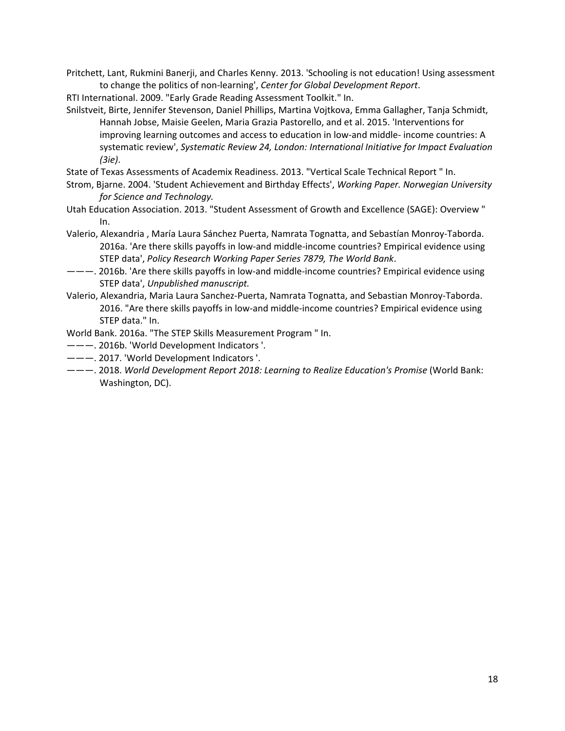Pritchett, Lant, Rukmini Banerji, and Charles Kenny. 2013. 'Schooling is not education! Using assessment to change the politics of non‐learning', *Center for Global Development Report*.

RTI International. 2009. "Early Grade Reading Assessment Toolkit." In.

Snilstveit, Birte, Jennifer Stevenson, Daniel Phillips, Martina Vojtkova, Emma Gallagher, Tanja Schmidt, Hannah Jobse, Maisie Geelen, Maria Grazia Pastorello, and et al. 2015. 'Interventions for improving learning outcomes and access to education in low-and middle-income countries: A systematic review', *Systematic Review 24, London: International Initiative for Impact Evaluation (3ie)*.

State of Texas Assessments of Academix Readiness. 2013. "Vertical Scale Technical Report " In.

- Strom, Bjarne. 2004. 'Student Achievement and Birthday Effects', *Working Paper. Norwegian University for Science and Technology.*
- Utah Education Association. 2013. "Student Assessment of Growth and Excellence (SAGE): Overview " In.
- Valerio, Alexandria , María Laura Sánchez Puerta, Namrata Tognatta, and Sebastían Monroy‐Taborda. 2016a. 'Are there skills payoffs in low‐and middle‐income countries? Empirical evidence using STEP data', *Policy Research Working Paper Series 7879, The World Bank*.
- ———. 2016b. 'Are there skills payoffs in low‐and middle‐income countries? Empirical evidence using STEP data', *Unpublished manuscript.*
- Valerio, Alexandria, Maria Laura Sanchez‐Puerta, Namrata Tognatta, and Sebastian Monroy‐Taborda. 2016. "Are there skills payoffs in low‐and middle‐income countries? Empirical evidence using STEP data." In.
- World Bank. 2016a. "The STEP Skills Measurement Program " In.
- ———. 2016b. 'World Development Indicators '.
- ———. 2017. 'World Development Indicators '.
- ———. 2018. *World Development Report 2018: Learning to Realize Education's Promise* (World Bank: Washington, DC).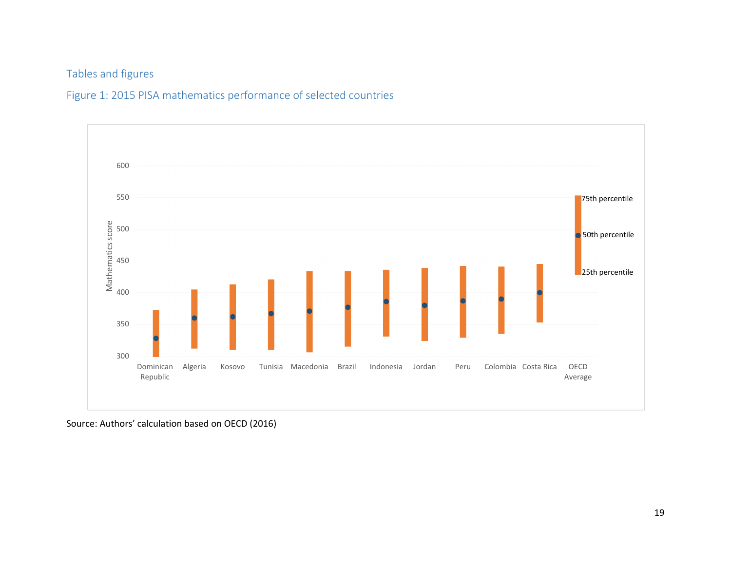### Tables and figures

### Figure 1: 2015 PISA mathematics performance of selected countries



Source: Authors' calculation based on OECD (2016)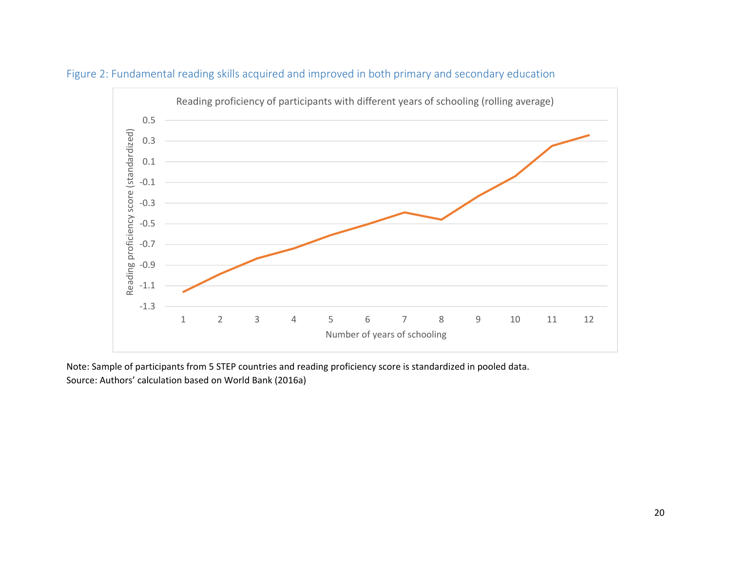



Note: Sample of participants from 5 STEP countries and reading proficiency score is standardized in pooled data. Source: Authors' calculation based on World Bank (2016a)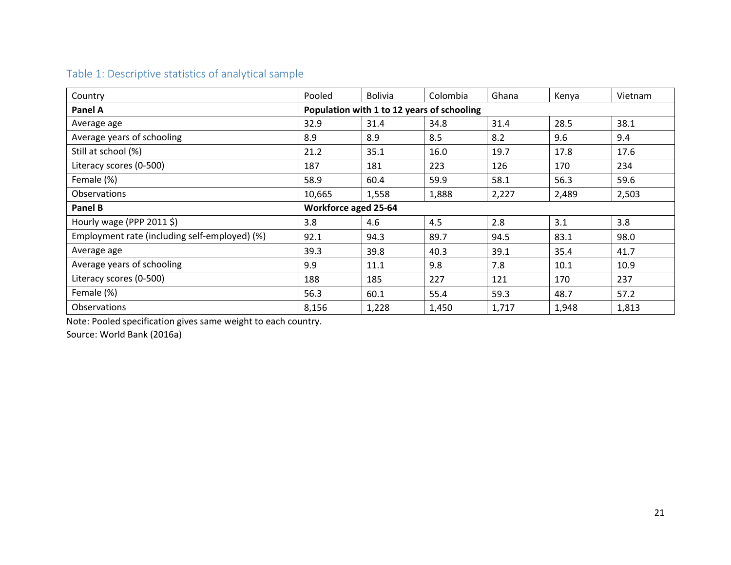### Table 1: Descriptive statistics of analytical sample

| Country                                       | Pooled | <b>Bolivia</b>              | Colombia                                   | Ghana | Kenya | Vietnam |
|-----------------------------------------------|--------|-----------------------------|--------------------------------------------|-------|-------|---------|
| <b>Panel A</b>                                |        |                             | Population with 1 to 12 years of schooling |       |       |         |
| Average age                                   | 32.9   | 31.4                        | 34.8                                       | 31.4  | 28.5  | 38.1    |
| Average years of schooling                    | 8.9    | 8.9                         | 8.5                                        | 8.2   | 9.6   | 9.4     |
| Still at school (%)                           | 21.2   | 35.1                        | 16.0                                       | 19.7  | 17.8  | 17.6    |
| Literacy scores (0-500)                       | 187    | 181                         | 223                                        | 126   | 170   | 234     |
| Female (%)                                    | 58.9   | 60.4                        | 59.9                                       | 58.1  | 56.3  | 59.6    |
| <b>Observations</b>                           | 10,665 | 1,558                       | 1,888                                      | 2,227 | 2,489 | 2,503   |
| Panel B                                       |        | <b>Workforce aged 25-64</b> |                                            |       |       |         |
| Hourly wage (PPP 2011 \$)                     | 3.8    | 4.6                         | 4.5                                        | 2.8   | 3.1   | 3.8     |
| Employment rate (including self-employed) (%) | 92.1   | 94.3                        | 89.7                                       | 94.5  | 83.1  | 98.0    |
| Average age                                   | 39.3   | 39.8                        | 40.3                                       | 39.1  | 35.4  | 41.7    |
| Average years of schooling                    | 9.9    | 11.1                        | 9.8                                        | 7.8   | 10.1  | 10.9    |
| Literacy scores (0-500)                       | 188    | 185                         | 227                                        | 121   | 170   | 237     |
| Female (%)                                    | 56.3   | 60.1                        | 55.4                                       | 59.3  | 48.7  | 57.2    |
| <b>Observations</b>                           | 8,156  | 1,228                       | 1,450                                      | 1,717 | 1,948 | 1,813   |

Note: Pooled specification gives same weight to each country.

Source: World Bank (2016a)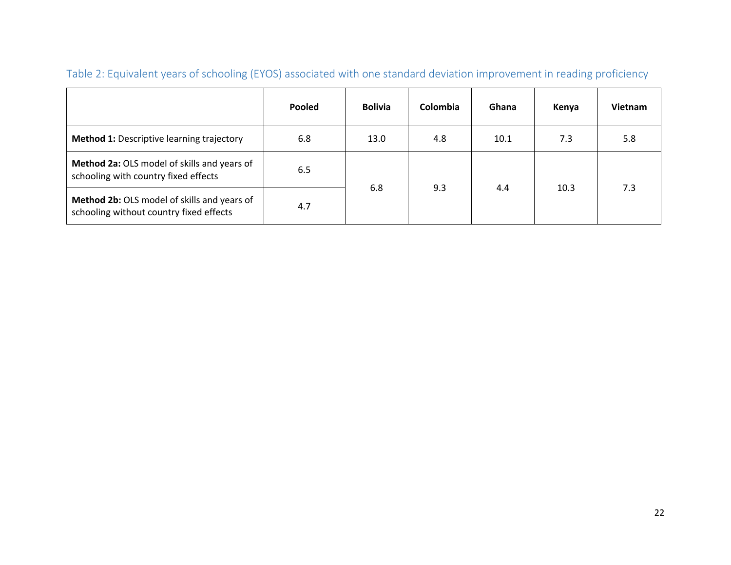|                                                                                            | Pooled | <b>Bolivia</b> | Colombia | Ghana | Kenya | <b>Vietnam</b> |
|--------------------------------------------------------------------------------------------|--------|----------------|----------|-------|-------|----------------|
| <b>Method 1: Descriptive learning trajectory</b>                                           | 6.8    | 13.0           | 4.8      | 10.1  | 7.3   | 5.8            |
| Method 2a: OLS model of skills and years of<br>6.5<br>schooling with country fixed effects |        | 6.8            |          |       | 10.3  | 7.3            |
| Method 2b: OLS model of skills and years of<br>schooling without country fixed effects     | 4.7    |                | 9.3      | 4.4   |       |                |

# Table 2: Equivalent years of schooling (EYOS) associated with one standard deviation improvement in reading proficiency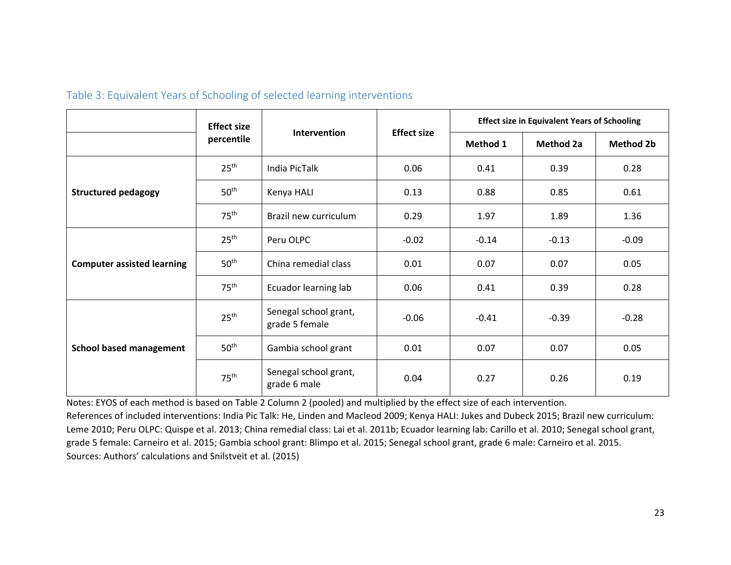|                                   | <b>Effect size</b> |                                         |                    |          | <b>Effect size in Equivalent Years of Schooling</b> |                  |  |  |  |
|-----------------------------------|--------------------|-----------------------------------------|--------------------|----------|-----------------------------------------------------|------------------|--|--|--|
|                                   | percentile         | Intervention                            | <b>Effect size</b> | Method 1 | <b>Method 2a</b>                                    | <b>Method 2b</b> |  |  |  |
| <b>Structured pedagogy</b>        | 25 <sup>th</sup>   | <b>India PicTalk</b>                    | 0.06               | 0.41     | 0.39                                                | 0.28             |  |  |  |
|                                   | 50 <sup>th</sup>   | Kenya HALI                              | 0.13               | 0.88     | 0.85                                                | 0.61             |  |  |  |
|                                   | 75 <sup>th</sup>   | Brazil new curriculum                   | 0.29               | 1.97     | 1.89                                                | 1.36             |  |  |  |
|                                   | 25 <sup>th</sup>   | Peru OLPC                               | $-0.02$            | $-0.14$  | $-0.13$                                             | $-0.09$          |  |  |  |
| <b>Computer assisted learning</b> | 50 <sup>th</sup>   | China remedial class                    | 0.01               | 0.07     | 0.07                                                | 0.05             |  |  |  |
|                                   | 75 <sup>th</sup>   | Ecuador learning lab                    | 0.06               | 0.41     | 0.39                                                | 0.28             |  |  |  |
| <b>School based management</b>    | 25 <sup>th</sup>   | Senegal school grant,<br>grade 5 female | $-0.06$            | $-0.41$  | $-0.39$                                             | $-0.28$          |  |  |  |
|                                   | 50 <sup>th</sup>   | Gambia school grant                     | 0.01               | 0.07     | 0.07                                                | 0.05             |  |  |  |
|                                   | 75 <sup>th</sup>   | Senegal school grant,<br>grade 6 male   | 0.04               | 0.27     | 0.26                                                | 0.19             |  |  |  |

### Table 3: Equivalent Years of Schooling of selected learning interventions

Notes: EYOS of each method is based on Table 2 Column 2 (pooled) and multiplied by the effect size of each intervention. References of included interventions: India Pic Talk: He, Linden and Macleod 2009; Kenya HALI: Jukes and Dubeck 2015; Brazil new curriculum: Leme 2010; Peru OLPC: Quispe et al. 2013; China remedial class: Lai et al. 2011b; Ecuador learning lab: Carillo et al. 2010; Senegal school grant, grade 5 female: Carneiro et al. 2015; Gambia school grant: Blimpo et al. 2015; Senegal school grant, grade 6 male: Carneiro et al. 2015. Sources: Authors' calculations and Snilstveit et al. (2015)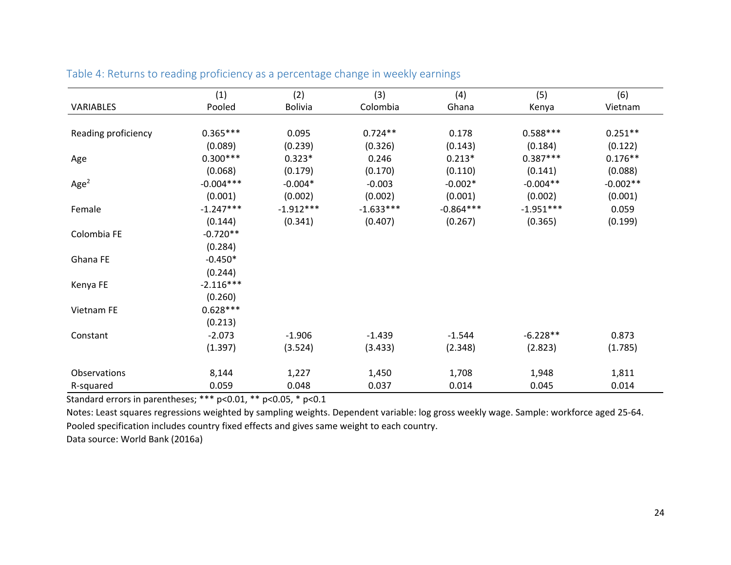|                     | (1)         | (2)            | (3)         | (4)         | (5)         | (6)        |
|---------------------|-------------|----------------|-------------|-------------|-------------|------------|
| VARIABLES           | Pooled      | <b>Bolivia</b> | Colombia    | Ghana       | Kenya       | Vietnam    |
|                     |             |                |             |             |             |            |
| Reading proficiency | $0.365***$  | 0.095          | $0.724**$   | 0.178       | $0.588***$  | $0.251**$  |
|                     | (0.089)     | (0.239)        | (0.326)     | (0.143)     | (0.184)     | (0.122)    |
| Age                 | $0.300***$  | $0.323*$       | 0.246       | $0.213*$    | $0.387***$  | $0.176**$  |
|                     | (0.068)     | (0.179)        | (0.170)     | (0.110)     | (0.141)     | (0.088)    |
| Age <sup>2</sup>    | $-0.004***$ | $-0.004*$      | $-0.003$    | $-0.002*$   | $-0.004**$  | $-0.002**$ |
|                     | (0.001)     | (0.002)        | (0.002)     | (0.001)     | (0.002)     | (0.001)    |
| Female              | $-1.247***$ | $-1.912***$    | $-1.633***$ | $-0.864***$ | $-1.951***$ | 0.059      |
|                     | (0.144)     | (0.341)        | (0.407)     | (0.267)     | (0.365)     | (0.199)    |
| Colombia FE         | $-0.720**$  |                |             |             |             |            |
|                     | (0.284)     |                |             |             |             |            |
| Ghana FE            | $-0.450*$   |                |             |             |             |            |
|                     | (0.244)     |                |             |             |             |            |
| Kenya FE            | $-2.116***$ |                |             |             |             |            |
|                     | (0.260)     |                |             |             |             |            |
| Vietnam FE          | $0.628***$  |                |             |             |             |            |
|                     | (0.213)     |                |             |             |             |            |
| Constant            | $-2.073$    | $-1.906$       | $-1.439$    | $-1.544$    | $-6.228**$  | 0.873      |
|                     | (1.397)     | (3.524)        | (3.433)     | (2.348)     | (2.823)     | (1.785)    |
| Observations        | 8,144       | 1,227          | 1,450       | 1,708       | 1,948       | 1,811      |
| R-squared           | 0.059       | 0.048          | 0.037       | 0.014       | 0.045       | 0.014      |

Table 4: Returns to reading proficiency as a percentage change in weekly earnings

Standard errors in parentheses; \*\*\* p<0.01, \*\* p<0.05, \* p<0.1

Notes: Least squares regressions weighted by sampling weights. Dependent variable: log gross weekly wage. Sample: workforce aged 25‐64. Pooled specification includes country fixed effects and gives same weight to each country.

Data source: World Bank (2016a)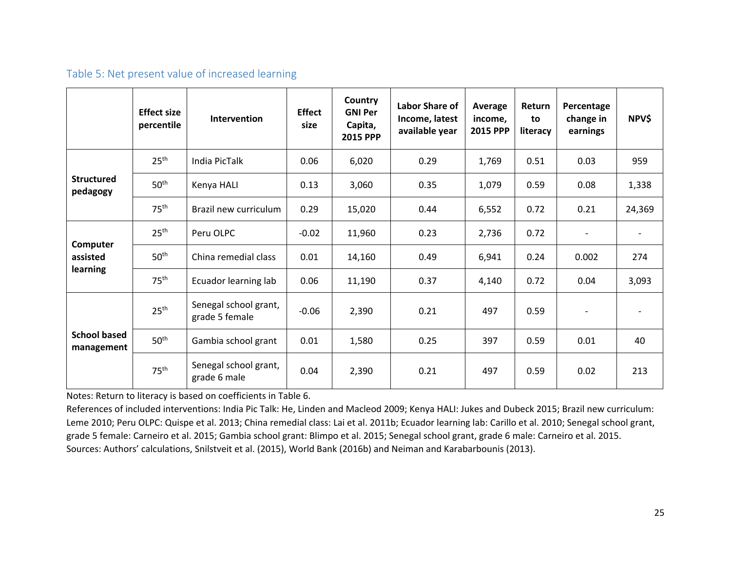### Table 5: Net present value of increased learning

|                                   | <b>Effect size</b><br>percentile | <b>Intervention</b>                     | <b>Effect</b><br>size | Country<br><b>GNI Per</b><br>Capita,<br>2015 PPP | <b>Labor Share of</b><br>Income, latest<br>available year | Average<br>income.<br><b>2015 PPP</b> | Return<br>to<br>literacy | Percentage<br>change in<br>earnings | <b>NPV\$</b> |
|-----------------------------------|----------------------------------|-----------------------------------------|-----------------------|--------------------------------------------------|-----------------------------------------------------------|---------------------------------------|--------------------------|-------------------------------------|--------------|
| <b>Structured</b><br>pedagogy     | 25 <sup>th</sup>                 | India PicTalk                           | 0.06                  | 6,020                                            | 0.29                                                      | 1,769                                 | 0.51                     | 0.03                                | 959          |
|                                   | 50 <sup>th</sup>                 | Kenya HALI                              | 0.13                  | 3,060                                            | 0.35                                                      | 1,079                                 | 0.59                     | 0.08                                | 1,338        |
|                                   | 75 <sup>th</sup>                 | Brazil new curriculum                   | 0.29                  | 15,020                                           | 0.44                                                      | 6,552                                 | 0.72                     | 0.21                                | 24,369       |
|                                   | 25 <sup>th</sup>                 | Peru OLPC                               | $-0.02$               | 11,960                                           | 0.23                                                      | 2,736                                 | 0.72                     | $\overline{\phantom{a}}$            |              |
| Computer<br>assisted              | 50 <sup>th</sup>                 | China remedial class                    | 0.01                  | 14,160                                           | 0.49                                                      | 6,941                                 | 0.24                     | 0.002                               | 274          |
| learning                          | 75 <sup>th</sup>                 | Ecuador learning lab                    | 0.06                  | 11,190                                           | 0.37                                                      | 4,140                                 | 0.72                     | 0.04                                | 3,093        |
| <b>School based</b><br>management | 25 <sup>th</sup>                 | Senegal school grant,<br>grade 5 female | $-0.06$               | 2,390                                            | 0.21                                                      | 497                                   | 0.59                     |                                     |              |
|                                   | 50 <sup>th</sup>                 | Gambia school grant                     | 0.01                  | 1,580                                            | 0.25                                                      | 397                                   | 0.59                     | 0.01                                | 40           |
|                                   | 75 <sup>th</sup>                 | Senegal school grant,<br>grade 6 male   | 0.04                  | 2,390                                            | 0.21                                                      | 497                                   | 0.59                     | 0.02                                | 213          |

Notes: Return to literacy is based on coefficients in Table 6.

References of included interventions: India Pic Talk: He, Linden and Macleod 2009; Kenya HALI: Jukes and Dubeck 2015; Brazil new curriculum: Leme 2010; Peru OLPC: Quispe et al. 2013; China remedial class: Lai et al. 2011b; Ecuador learning lab: Carillo et al. 2010; Senegal school grant, grade 5 female: Carneiro et al. 2015; Gambia school grant: Blimpo et al. 2015; Senegal school grant, grade 6 male: Carneiro et al. 2015. Sources: Authors' calculations, Snilstveit et al. (2015), World Bank (2016b) and Neiman and Karabarbounis (2013).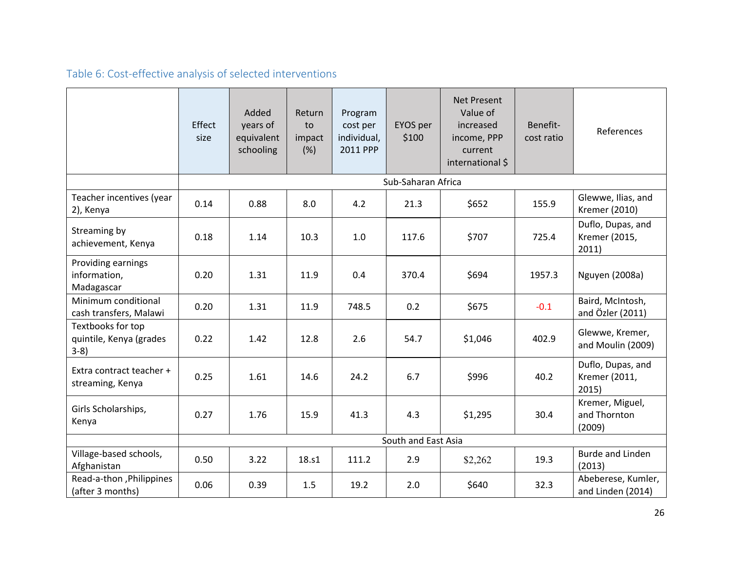# Table 6: Cost-effective analysis of selected interventions

|                                                         | Effect<br>size      | Added<br>years of<br>equivalent<br>schooling | Return<br>to<br>impact<br>(%) | Program<br>cost per<br>individual,<br>2011 PPP | EYOS per<br>\$100  | <b>Net Present</b><br>Value of<br>increased<br>income, PPP<br>current<br>international \$ | Benefit-<br>cost ratio | References                                  |
|---------------------------------------------------------|---------------------|----------------------------------------------|-------------------------------|------------------------------------------------|--------------------|-------------------------------------------------------------------------------------------|------------------------|---------------------------------------------|
|                                                         |                     |                                              |                               |                                                | Sub-Saharan Africa |                                                                                           |                        |                                             |
| Teacher incentives (year<br>2), Kenya                   | 0.14                | 0.88                                         | 8.0                           | 4.2                                            | 21.3               | \$652                                                                                     | 155.9                  | Glewwe, Ilias, and<br>Kremer (2010)         |
| Streaming by<br>achievement, Kenya                      | 0.18                | 1.14                                         | 10.3                          | 1.0                                            | 117.6              | \$707                                                                                     | 725.4                  | Duflo, Dupas, and<br>Kremer (2015,<br>2011) |
| Providing earnings<br>information,<br>Madagascar        | 0.20                | 1.31                                         | 11.9                          | 0.4                                            | 370.4              | \$694                                                                                     | 1957.3                 | Nguyen (2008a)                              |
| Minimum conditional<br>cash transfers, Malawi           | 0.20                | 1.31                                         | 11.9                          | 748.5                                          | 0.2                | \$675                                                                                     | $-0.1$                 | Baird, McIntosh,<br>and Özler (2011)        |
| Textbooks for top<br>quintile, Kenya (grades<br>$3-8$ ) | 0.22                | 1.42                                         | 12.8                          | 2.6                                            | 54.7               | \$1,046                                                                                   | 402.9                  | Glewwe, Kremer,<br>and Moulin (2009)        |
| Extra contract teacher +<br>streaming, Kenya            | 0.25                | 1.61                                         | 14.6                          | 24.2                                           | 6.7                | \$996                                                                                     | 40.2                   | Duflo, Dupas, and<br>Kremer (2011,<br>2015) |
| Girls Scholarships,<br>Kenya                            | 0.27                | 1.76                                         | 15.9                          | 41.3                                           | 4.3                | \$1,295                                                                                   | 30.4                   | Kremer, Miguel,<br>and Thornton<br>(2009)   |
|                                                         | South and East Asia |                                              |                               |                                                |                    |                                                                                           |                        |                                             |
| Village-based schools,<br>Afghanistan                   | 0.50                | 3.22                                         | 18.s1                         | 111.2                                          | 2.9                | \$2,262                                                                                   | 19.3                   | <b>Burde and Linden</b><br>(2013)           |
| Read-a-thon, Philippines<br>(after 3 months)            | 0.06                | 0.39                                         | 1.5                           | 19.2                                           | 2.0                | \$640                                                                                     | 32.3                   | Abeberese, Kumler,<br>and Linden (2014)     |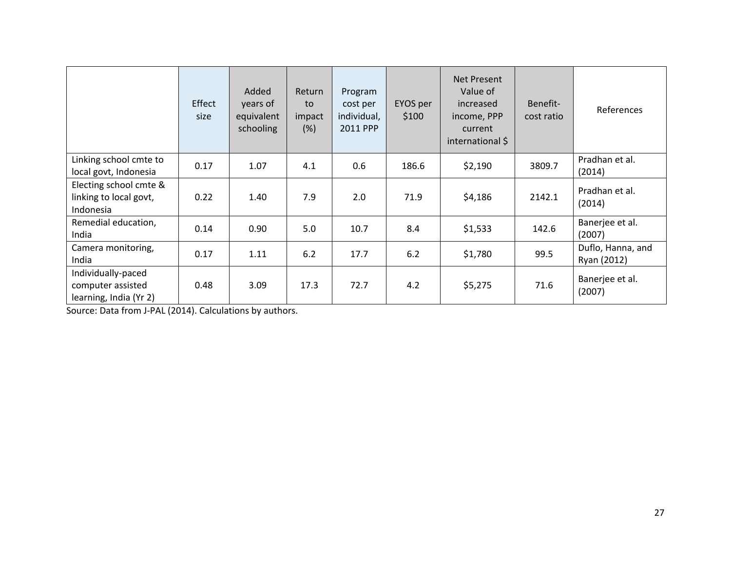|                                                                   | Effect<br>size | Added<br>years of<br>equivalent<br>schooling | Return<br>to<br>impact<br>(%) | Program<br>cost per<br>individual,<br>2011 PPP | EYOS per<br>\$100 | Net Present<br>Value of<br>increased<br>income, PPP<br>current<br>international \$ | Benefit-<br>cost ratio | References                       |
|-------------------------------------------------------------------|----------------|----------------------------------------------|-------------------------------|------------------------------------------------|-------------------|------------------------------------------------------------------------------------|------------------------|----------------------------------|
| Linking school cmte to<br>local govt, Indonesia                   | 0.17           | 1.07                                         | 4.1                           | 0.6                                            | 186.6             | \$2,190                                                                            | 3809.7                 | Pradhan et al.<br>(2014)         |
| Electing school cmte &<br>linking to local govt,<br>Indonesia     | 0.22           | 1.40                                         | 7.9                           | 2.0                                            | 71.9              | \$4,186                                                                            | 2142.1                 | Pradhan et al.<br>(2014)         |
| Remedial education,<br>India                                      | 0.14           | 0.90                                         | 5.0                           | 10.7                                           | 8.4               | \$1,533                                                                            | 142.6                  | Banerjee et al.<br>(2007)        |
| Camera monitoring,<br>India                                       | 0.17           | 1.11                                         | 6.2                           | 17.7                                           | 6.2               | \$1,780                                                                            | 99.5                   | Duflo, Hanna, and<br>Ryan (2012) |
| Individually-paced<br>computer assisted<br>learning, India (Yr 2) | 0.48           | 3.09                                         | 17.3                          | 72.7                                           | 4.2               | \$5,275                                                                            | 71.6                   | Banerjee et al.<br>(2007)        |

Source: Data from J‐PAL (2014). Calculations by authors.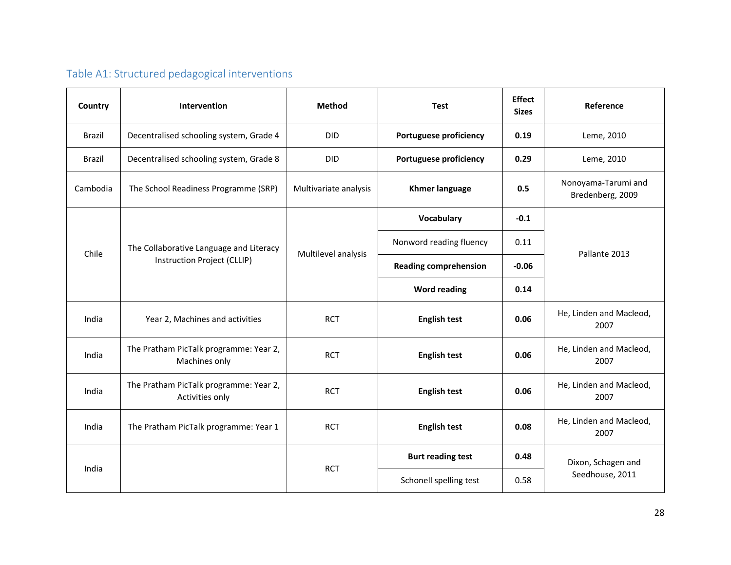# Table A1: Structured pedagogical interventions

| Country       | Intervention                                                           | <b>Method</b><br><b>Test</b> |                               | <b>Effect</b><br><b>Sizes</b> | Reference                               |  |
|---------------|------------------------------------------------------------------------|------------------------------|-------------------------------|-------------------------------|-----------------------------------------|--|
| <b>Brazil</b> | Decentralised schooling system, Grade 4                                | <b>DID</b>                   | <b>Portuguese proficiency</b> | 0.19                          | Leme, 2010                              |  |
| <b>Brazil</b> | Decentralised schooling system, Grade 8                                | <b>DID</b>                   | <b>Portuguese proficiency</b> | 0.29                          | Leme, 2010                              |  |
| Cambodia      | The School Readiness Programme (SRP)                                   | Multivariate analysis        | <b>Khmer language</b>         |                               | Nonoyama-Tarumi and<br>Bredenberg, 2009 |  |
|               | The Collaborative Language and Literacy<br>Instruction Project (CLLIP) |                              | Vocabulary                    | $-0.1$                        |                                         |  |
| Chile         |                                                                        | Multilevel analysis          | Nonword reading fluency       | 0.11                          |                                         |  |
|               |                                                                        |                              | <b>Reading comprehension</b>  | $-0.06$                       | Pallante 2013                           |  |
|               |                                                                        |                              | <b>Word reading</b>           | 0.14                          |                                         |  |
| India         | Year 2, Machines and activities                                        | <b>RCT</b>                   | <b>English test</b>           | 0.06                          | He, Linden and Macleod,<br>2007         |  |
| India         | The Pratham PicTalk programme: Year 2,<br>Machines only                | <b>RCT</b>                   | <b>English test</b>           | 0.06                          | He, Linden and Macleod,<br>2007         |  |
| India         | The Pratham PicTalk programme: Year 2,<br>Activities only              | <b>RCT</b>                   | <b>English test</b>           | 0.06                          | He, Linden and Macleod,<br>2007         |  |
| India         | The Pratham PicTalk programme: Year 1                                  | <b>RCT</b>                   | <b>English test</b>           | 0.08                          | He, Linden and Macleod,<br>2007         |  |
|               |                                                                        |                              | <b>Burt reading test</b>      | 0.48                          | Dixon, Schagen and                      |  |
| India         |                                                                        | <b>RCT</b>                   | Schonell spelling test        | 0.58                          | Seedhouse, 2011                         |  |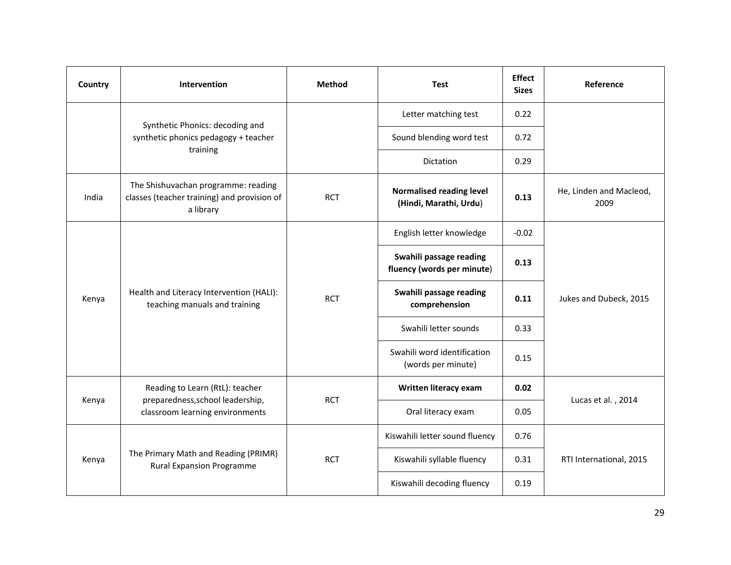| Country | <b>Intervention</b>                                                                             | <b>Method</b> | <b>Test</b>                                               | <b>Effect</b><br><b>Sizes</b> | Reference                       |
|---------|-------------------------------------------------------------------------------------------------|---------------|-----------------------------------------------------------|-------------------------------|---------------------------------|
|         |                                                                                                 |               | Letter matching test                                      | 0.22                          |                                 |
|         | Synthetic Phonics: decoding and<br>synthetic phonics pedagogy + teacher                         |               | Sound blending word test                                  | 0.72                          |                                 |
|         | training                                                                                        |               | Dictation                                                 | 0.29                          |                                 |
| India   | The Shishuvachan programme: reading<br>classes (teacher training) and provision of<br>a library | <b>RCT</b>    | <b>Normalised reading level</b><br>(Hindi, Marathi, Urdu) | 0.13                          | He, Linden and Macleod,<br>2009 |
|         | Health and Literacy Intervention (HALI):<br>teaching manuals and training                       | <b>RCT</b>    | English letter knowledge                                  | $-0.02$                       |                                 |
|         |                                                                                                 |               | Swahili passage reading<br>fluency (words per minute)     | 0.13                          |                                 |
| Kenya   |                                                                                                 |               | Swahili passage reading<br>comprehension                  | 0.11                          | Jukes and Dubeck, 2015          |
|         |                                                                                                 |               | Swahili letter sounds                                     | 0.33                          |                                 |
|         |                                                                                                 |               | Swahili word identification<br>(words per minute)         | 0.15                          |                                 |
|         | Reading to Learn (RtL): teacher<br>preparedness, school leadership,                             | <b>RCT</b>    | Written literacy exam                                     | 0.02                          |                                 |
| Kenya   | classroom learning environments                                                                 |               | Oral literacy exam                                        | 0.05                          | Lucas et al., 2014              |
|         |                                                                                                 |               | Kiswahili letter sound fluency                            | 0.76                          |                                 |
| Kenya   | The Primary Math and Reading (PRIMR)<br><b>Rural Expansion Programme</b>                        | <b>RCT</b>    | Kiswahili syllable fluency                                | 0.31                          | RTI International, 2015         |
|         |                                                                                                 |               | Kiswahili decoding fluency                                | 0.19                          |                                 |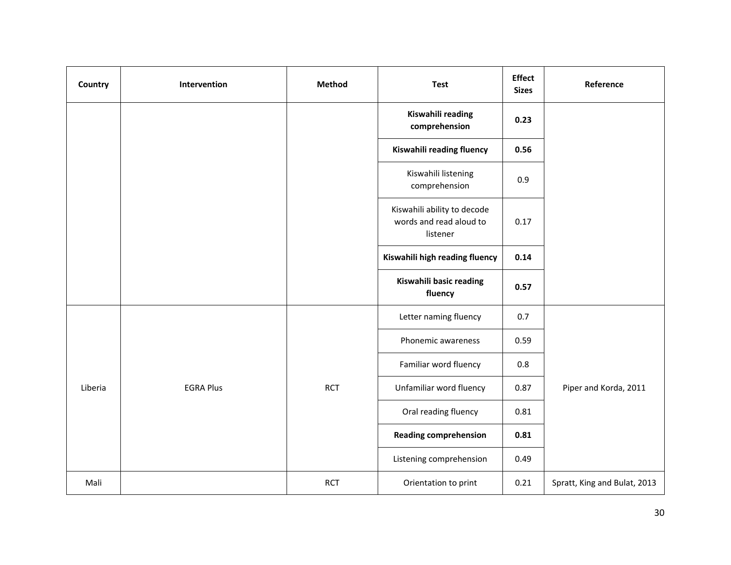| Country | Intervention     | Method     | <b>Test</b>                                                        | <b>Effect</b><br><b>Sizes</b> | Reference                    |
|---------|------------------|------------|--------------------------------------------------------------------|-------------------------------|------------------------------|
|         |                  |            | Kiswahili reading<br>comprehension                                 | 0.23                          |                              |
|         |                  |            | Kiswahili reading fluency                                          | 0.56                          |                              |
|         |                  |            | Kiswahili listening<br>comprehension                               | 0.9                           |                              |
|         |                  |            | Kiswahili ability to decode<br>words and read aloud to<br>listener | 0.17                          |                              |
|         |                  |            | Kiswahili high reading fluency                                     | 0.14                          |                              |
|         |                  |            | Kiswahili basic reading<br>fluency                                 | 0.57                          |                              |
|         |                  |            | Letter naming fluency                                              | 0.7                           |                              |
|         |                  |            | Phonemic awareness                                                 | 0.59                          |                              |
|         |                  |            | Familiar word fluency                                              | 0.8                           |                              |
| Liberia | <b>EGRA Plus</b> | <b>RCT</b> | Unfamiliar word fluency                                            | 0.87                          | Piper and Korda, 2011        |
|         |                  |            | Oral reading fluency                                               | 0.81                          |                              |
|         |                  |            | <b>Reading comprehension</b>                                       | 0.81                          |                              |
|         |                  |            | Listening comprehension                                            | 0.49                          |                              |
| Mali    |                  | <b>RCT</b> | Orientation to print                                               | 0.21                          | Spratt, King and Bulat, 2013 |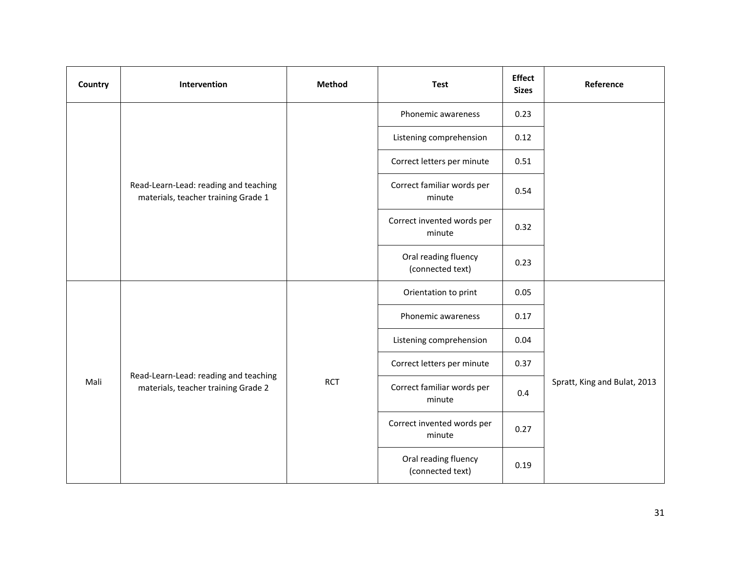| Country | Intervention                                                                 | Method     | <b>Test</b>                              | <b>Effect</b><br><b>Sizes</b> | Reference                    |
|---------|------------------------------------------------------------------------------|------------|------------------------------------------|-------------------------------|------------------------------|
|         |                                                                              |            | Phonemic awareness                       | 0.23                          |                              |
|         |                                                                              |            | Listening comprehension                  | 0.12                          |                              |
|         | Read-Learn-Lead: reading and teaching<br>materials, teacher training Grade 1 |            | Correct letters per minute               | 0.51                          |                              |
|         |                                                                              |            | Correct familiar words per<br>minute     | 0.54                          |                              |
|         |                                                                              |            | Correct invented words per<br>minute     | 0.32                          |                              |
|         |                                                                              |            | Oral reading fluency<br>(connected text) | 0.23                          |                              |
|         |                                                                              |            | Orientation to print                     | 0.05                          |                              |
|         |                                                                              |            | Phonemic awareness                       | 0.17                          |                              |
|         |                                                                              |            | Listening comprehension                  | 0.04                          |                              |
|         | Read-Learn-Lead: reading and teaching                                        |            | Correct letters per minute               | 0.37                          | Spratt, King and Bulat, 2013 |
| Mali    | materials, teacher training Grade 2                                          | <b>RCT</b> | Correct familiar words per<br>minute     | 0.4                           |                              |
|         |                                                                              |            | Correct invented words per<br>minute     | 0.27                          |                              |
|         |                                                                              |            | Oral reading fluency<br>(connected text) | 0.19                          |                              |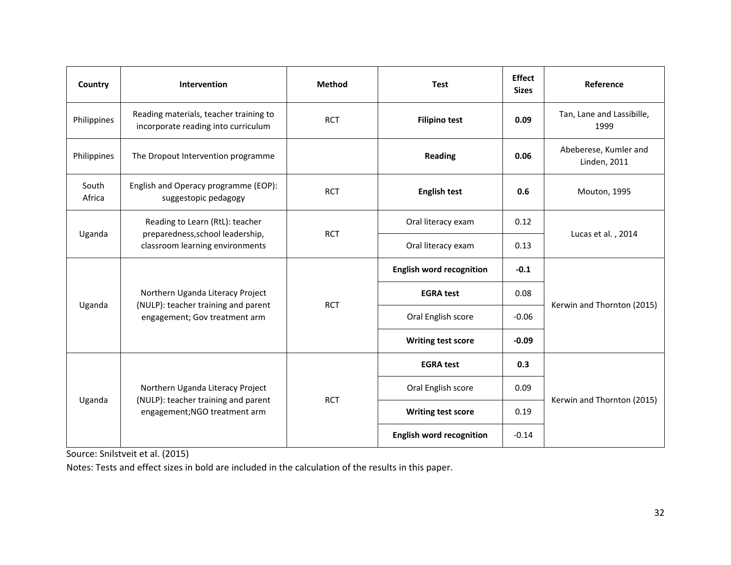| Country         | Intervention                                                                                           | <b>Method</b> | <b>Test</b>                     | <b>Effect</b><br><b>Sizes</b> | Reference                                    |  |  |
|-----------------|--------------------------------------------------------------------------------------------------------|---------------|---------------------------------|-------------------------------|----------------------------------------------|--|--|
| Philippines     | Reading materials, teacher training to<br>incorporate reading into curriculum                          | <b>RCT</b>    | <b>Filipino test</b>            | 0.09                          | Tan, Lane and Lassibille,<br>1999            |  |  |
| Philippines     | The Dropout Intervention programme                                                                     |               | <b>Reading</b>                  | 0.06                          | Abeberese, Kumler and<br><b>Linden, 2011</b> |  |  |
| South<br>Africa | English and Operacy programme (EOP):<br>suggestopic pedagogy                                           | <b>RCT</b>    | <b>English test</b>             | 0.6                           | Mouton, 1995                                 |  |  |
| Uganda          | Reading to Learn (RtL): teacher<br>preparedness, school leadership,<br>classroom learning environments | <b>RCT</b>    | Oral literacy exam              | 0.12                          | Lucas et al., 2014                           |  |  |
|                 |                                                                                                        |               | Oral literacy exam              | 0.13                          |                                              |  |  |
|                 | Northern Uganda Literacy Project                                                                       | <b>RCT</b>    | <b>English word recognition</b> | $-0.1$                        |                                              |  |  |
|                 |                                                                                                        |               | <b>EGRA test</b>                | 0.08                          | Kerwin and Thornton (2015)                   |  |  |
| Uganda          | (NULP): teacher training and parent<br>engagement; Gov treatment arm                                   |               | Oral English score              | $-0.06$                       |                                              |  |  |
|                 |                                                                                                        |               | <b>Writing test score</b>       | $-0.09$                       |                                              |  |  |
|                 |                                                                                                        |               | <b>EGRA test</b>                | 0.3                           |                                              |  |  |
|                 | Northern Uganda Literacy Project                                                                       |               | Oral English score              | 0.09                          | Kerwin and Thornton (2015)                   |  |  |
| Uganda          | (NULP): teacher training and parent<br>engagement; NGO treatment arm                                   | <b>RCT</b>    | <b>Writing test score</b>       | 0.19                          |                                              |  |  |
|                 |                                                                                                        |               | <b>English word recognition</b> | $-0.14$                       |                                              |  |  |

Source: Snilstveit et al. (2015)

Notes: Tests and effect sizes in bold are included in the calculation of the results in this paper.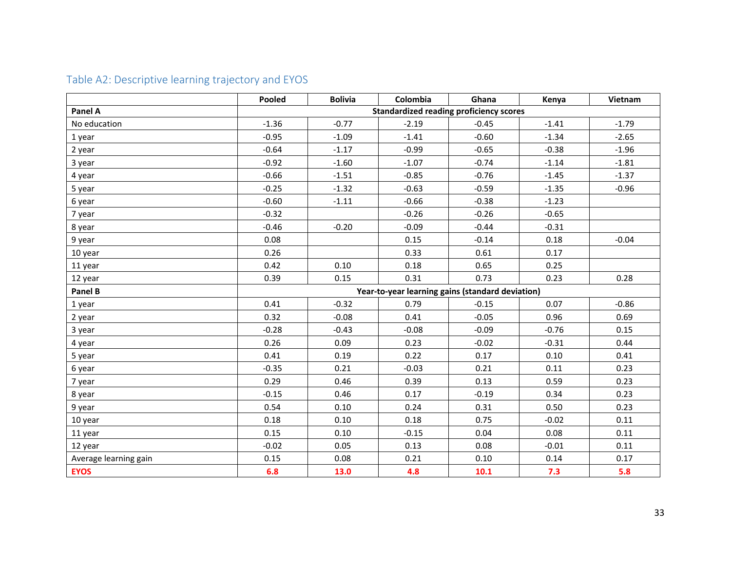|                       | Pooled  | <b>Bolivia</b>                                   | Colombia | Ghana                                          | Kenya   | Vietnam |  |  |  |
|-----------------------|---------|--------------------------------------------------|----------|------------------------------------------------|---------|---------|--|--|--|
| Panel A               |         |                                                  |          | <b>Standardized reading proficiency scores</b> |         |         |  |  |  |
| No education          | $-1.36$ | $-0.77$                                          | $-2.19$  | $-0.45$                                        | $-1.41$ | $-1.79$ |  |  |  |
| 1 year                | $-0.95$ | $-1.09$                                          | $-1.41$  | $-0.60$                                        | $-1.34$ | $-2.65$ |  |  |  |
| 2 year                | $-0.64$ | $-1.17$                                          | $-0.99$  | $-0.65$                                        | $-0.38$ | $-1.96$ |  |  |  |
| 3 year                | $-0.92$ | $-1.60$                                          | $-1.07$  | $-0.74$                                        | $-1.14$ | $-1.81$ |  |  |  |
| 4 year                | $-0.66$ | $-1.51$                                          | $-0.85$  | $-0.76$                                        | $-1.45$ | $-1.37$ |  |  |  |
| 5 year                | $-0.25$ | $-1.32$                                          | $-0.63$  | $-0.59$                                        | $-1.35$ | $-0.96$ |  |  |  |
| 6 year                | $-0.60$ | $-1.11$                                          | $-0.66$  | $-0.38$                                        | $-1.23$ |         |  |  |  |
| 7 year                | $-0.32$ |                                                  | $-0.26$  | $-0.26$                                        | $-0.65$ |         |  |  |  |
| 8 year                | $-0.46$ | $-0.20$                                          | $-0.09$  | $-0.44$                                        | $-0.31$ |         |  |  |  |
| 9 year                | 0.08    |                                                  | 0.15     | $-0.14$                                        | 0.18    | $-0.04$ |  |  |  |
| 10 year               | 0.26    |                                                  | 0.33     | 0.61                                           | 0.17    |         |  |  |  |
| 11 year               | 0.42    | 0.10                                             | 0.18     | 0.65                                           | 0.25    |         |  |  |  |
| 12 year               | 0.39    | 0.15                                             | 0.31     | 0.73                                           | 0.23    | 0.28    |  |  |  |
| Panel B               |         | Year-to-year learning gains (standard deviation) |          |                                                |         |         |  |  |  |
| 1 year                | 0.41    | $-0.32$                                          | 0.79     | $-0.15$                                        | 0.07    | $-0.86$ |  |  |  |
| 2 year                | 0.32    | $-0.08$                                          | 0.41     | $-0.05$                                        | 0.96    | 0.69    |  |  |  |
| 3 year                | $-0.28$ | $-0.43$                                          | $-0.08$  | $-0.09$                                        | $-0.76$ | 0.15    |  |  |  |
| 4 year                | 0.26    | 0.09                                             | 0.23     | $-0.02$                                        | $-0.31$ | 0.44    |  |  |  |
| 5 year                | 0.41    | 0.19                                             | 0.22     | 0.17                                           | 0.10    | 0.41    |  |  |  |
| 6 year                | $-0.35$ | 0.21                                             | $-0.03$  | 0.21                                           | 0.11    | 0.23    |  |  |  |
| 7 year                | 0.29    | 0.46                                             | 0.39     | 0.13                                           | 0.59    | 0.23    |  |  |  |
| 8 year                | $-0.15$ | 0.46                                             | 0.17     | $-0.19$                                        | 0.34    | 0.23    |  |  |  |
| 9 year                | 0.54    | 0.10                                             | 0.24     | 0.31                                           | 0.50    | 0.23    |  |  |  |
| 10 year               | 0.18    | 0.10                                             | 0.18     | 0.75                                           | $-0.02$ | 0.11    |  |  |  |
| 11 year               | 0.15    | 0.10                                             | $-0.15$  | 0.04                                           | 0.08    | 0.11    |  |  |  |
| 12 year               | $-0.02$ | 0.05                                             | 0.13     | 0.08                                           | $-0.01$ | 0.11    |  |  |  |
| Average learning gain | 0.15    | 0.08                                             | 0.21     | 0.10                                           | 0.14    | 0.17    |  |  |  |
| <b>EYOS</b>           | 6.8     | 13.0                                             | 4.8      | 10.1                                           | 7.3     | 5.8     |  |  |  |

# Table A2: Descriptive learning trajectory and EYOS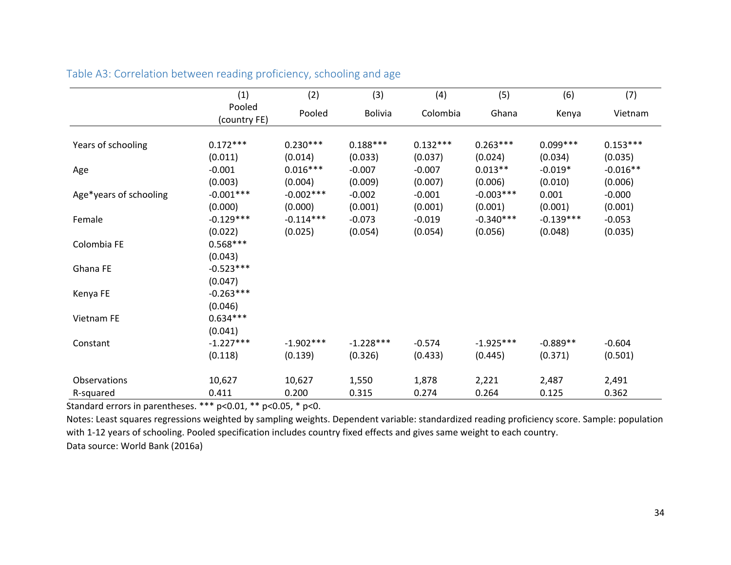|                        | (1)                    | (2)         | (3)            | (4)        | (5)         | (6)         | (7)        |
|------------------------|------------------------|-------------|----------------|------------|-------------|-------------|------------|
|                        | Pooled<br>(country FE) | Pooled      | <b>Bolivia</b> | Colombia   | Ghana       | Kenya       | Vietnam    |
|                        |                        |             |                |            |             |             |            |
| Years of schooling     | $0.172***$             | $0.230***$  | $0.188***$     | $0.132***$ | $0.263***$  | $0.099***$  | $0.153***$ |
|                        | (0.011)                | (0.014)     | (0.033)        | (0.037)    | (0.024)     | (0.034)     | (0.035)    |
| Age                    | $-0.001$               | $0.016***$  | $-0.007$       | $-0.007$   | $0.013**$   | $-0.019*$   | $-0.016**$ |
|                        | (0.003)                | (0.004)     | (0.009)        | (0.007)    | (0.006)     | (0.010)     | (0.006)    |
| Age*years of schooling | $-0.001***$            | $-0.002***$ | $-0.002$       | $-0.001$   | $-0.003***$ | 0.001       | $-0.000$   |
|                        | (0.000)                | (0.000)     | (0.001)        | (0.001)    | (0.001)     | (0.001)     | (0.001)    |
| Female                 | $-0.129***$            | $-0.114***$ | $-0.073$       | $-0.019$   | $-0.340***$ | $-0.139***$ | $-0.053$   |
|                        | (0.022)                | (0.025)     | (0.054)        | (0.054)    | (0.056)     | (0.048)     | (0.035)    |
| Colombia FE            | $0.568***$             |             |                |            |             |             |            |
|                        | (0.043)                |             |                |            |             |             |            |
| Ghana FE               | $-0.523***$            |             |                |            |             |             |            |
|                        | (0.047)                |             |                |            |             |             |            |
| Kenya FE               | $-0.263***$            |             |                |            |             |             |            |
|                        | (0.046)                |             |                |            |             |             |            |
| Vietnam FE             | $0.634***$             |             |                |            |             |             |            |
|                        | (0.041)                |             |                |            |             |             |            |
| Constant               | $-1.227***$            | $-1.902***$ | $-1.228***$    | $-0.574$   | $-1.925***$ | $-0.889**$  | $-0.604$   |
|                        | (0.118)                | (0.139)     | (0.326)        | (0.433)    | (0.445)     | (0.371)     | (0.501)    |
| <b>Observations</b>    | 10,627                 | 10,627      | 1,550          | 1,878      | 2,221       | 2,487       | 2,491      |
| R-squared              | 0.411                  | 0.200       | 0.315          | 0.274      | 0.264       | 0.125       | 0.362      |

### Table A3: Correlation between reading proficiency, schooling and age

Standard errors in parentheses. \*\*\* p<0.01, \*\* p<0.05, \* p<0.

Notes: Least squares regressions weighted by sampling weights. Dependent variable: standardized reading proficiency score. Sample: population with 1-12 years of schooling. Pooled specification includes country fixed effects and gives same weight to each country. Data source: World Bank (2016a)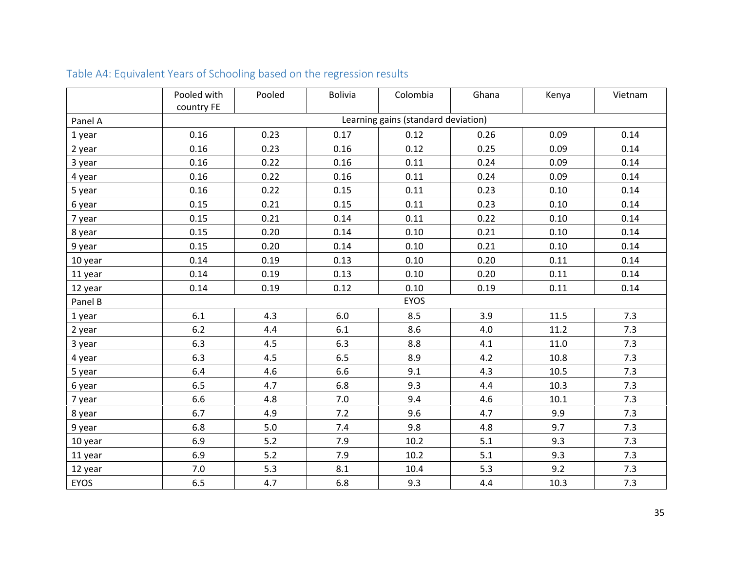|         | Pooled with | Pooled | <b>Bolivia</b> | Colombia                            | Ghana | Kenya | Vietnam |
|---------|-------------|--------|----------------|-------------------------------------|-------|-------|---------|
|         | country FE  |        |                |                                     |       |       |         |
| Panel A |             |        |                | Learning gains (standard deviation) |       |       |         |
| 1 year  | 0.16        | 0.23   | 0.17           | 0.12                                | 0.26  | 0.09  | 0.14    |
| 2 year  | 0.16        | 0.23   | 0.16           | 0.12                                | 0.25  | 0.09  | 0.14    |
| 3 year  | 0.16        | 0.22   | 0.16           | 0.11                                | 0.24  | 0.09  | 0.14    |
| 4 year  | 0.16        | 0.22   | 0.16           | 0.11                                | 0.24  | 0.09  | 0.14    |
| 5 year  | 0.16        | 0.22   | 0.15           | 0.11                                | 0.23  | 0.10  | 0.14    |
| 6 year  | 0.15        | 0.21   | 0.15           | 0.11                                | 0.23  | 0.10  | 0.14    |
| 7 year  | 0.15        | 0.21   | 0.14           | 0.11                                | 0.22  | 0.10  | 0.14    |
| 8 year  | 0.15        | 0.20   | 0.14           | 0.10                                | 0.21  | 0.10  | 0.14    |
| 9 year  | 0.15        | 0.20   | 0.14           | 0.10                                | 0.21  | 0.10  | 0.14    |
| 10 year | 0.14        | 0.19   | 0.13           | 0.10                                | 0.20  | 0.11  | 0.14    |
| 11 year | 0.14        | 0.19   | 0.13           | 0.10                                | 0.20  | 0.11  | 0.14    |
| 12 year | 0.14        | 0.19   | 0.12           | 0.10                                | 0.19  | 0.11  | 0.14    |
| Panel B |             |        |                | <b>EYOS</b>                         |       |       |         |
| 1 year  | 6.1         | 4.3    | 6.0            | 8.5                                 | 3.9   | 11.5  | 7.3     |
| 2 year  | $6.2$       | 4.4    | 6.1            | 8.6                                 | 4.0   | 11.2  | 7.3     |
| 3 year  | 6.3         | 4.5    | 6.3            | 8.8                                 | 4.1   | 11.0  | 7.3     |
| 4 year  | 6.3         | 4.5    | 6.5            | 8.9                                 | 4.2   | 10.8  | 7.3     |
| 5 year  | 6.4         | 4.6    | 6.6            | 9.1                                 | 4.3   | 10.5  | 7.3     |
| 6 year  | 6.5         | 4.7    | 6.8            | 9.3                                 | 4.4   | 10.3  | 7.3     |
| 7 year  | 6.6         | 4.8    | $7.0\,$        | 9.4                                 | 4.6   | 10.1  | 7.3     |
| 8 year  | 6.7         | 4.9    | 7.2            | 9.6                                 | 4.7   | 9.9   | 7.3     |
| 9 year  | 6.8         | 5.0    | 7.4            | 9.8                                 | 4.8   | 9.7   | 7.3     |
| 10 year | 6.9         | 5.2    | 7.9            | 10.2                                | 5.1   | 9.3   | 7.3     |
| 11 year | 6.9         | 5.2    | 7.9            | 10.2                                | 5.1   | 9.3   | 7.3     |
| 12 year | 7.0         | 5.3    | 8.1            | 10.4                                | 5.3   | 9.2   | 7.3     |
| EYOS    | 6.5         | 4.7    | 6.8            | 9.3                                 | 4.4   | 10.3  | 7.3     |

# Table A4: Equivalent Years of Schooling based on the regression results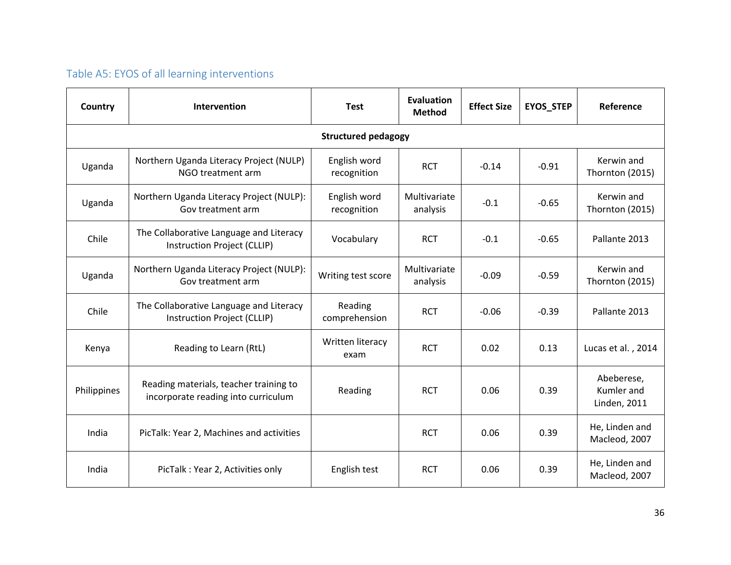# Table A5: EYOS of all learning interventions

| Country     | Intervention                                                                  | <b>Test</b>                 | <b>Evaluation</b><br><b>Method</b> | <b>Effect Size</b> | <b>EYOS_STEP</b> | Reference                                       |
|-------------|-------------------------------------------------------------------------------|-----------------------------|------------------------------------|--------------------|------------------|-------------------------------------------------|
|             |                                                                               | <b>Structured pedagogy</b>  |                                    |                    |                  |                                                 |
| Uganda      | Northern Uganda Literacy Project (NULP)<br>NGO treatment arm                  | English word<br>recognition | <b>RCT</b>                         | $-0.14$            | $-0.91$          | Kerwin and<br>Thornton (2015)                   |
| Uganda      | Northern Uganda Literacy Project (NULP):<br>Gov treatment arm                 | English word<br>recognition | Multivariate<br>analysis           | $-0.1$             | $-0.65$          | Kerwin and<br>Thornton (2015)                   |
| Chile       | The Collaborative Language and Literacy<br>Instruction Project (CLLIP)        | Vocabulary                  | <b>RCT</b>                         | $-0.1$             | $-0.65$          | Pallante 2013                                   |
| Uganda      | Northern Uganda Literacy Project (NULP):<br>Gov treatment arm                 | Writing test score          | Multivariate<br>analysis           | $-0.09$            | $-0.59$          | Kerwin and<br>Thornton (2015)                   |
| Chile       | The Collaborative Language and Literacy<br>Instruction Project (CLLIP)        | Reading<br>comprehension    | <b>RCT</b>                         | $-0.06$            | $-0.39$          | Pallante 2013                                   |
| Kenya       | Reading to Learn (RtL)                                                        | Written literacy<br>exam    | <b>RCT</b>                         | 0.02               | 0.13             | Lucas et al., 2014                              |
| Philippines | Reading materials, teacher training to<br>incorporate reading into curriculum | Reading                     | <b>RCT</b>                         | 0.06               | 0.39             | Abeberese,<br>Kumler and<br><b>Linden, 2011</b> |
| India       | PicTalk: Year 2, Machines and activities                                      |                             | <b>RCT</b>                         | 0.06               | 0.39             | He, Linden and<br>Macleod, 2007                 |
| India       | PicTalk: Year 2, Activities only                                              | English test                | <b>RCT</b>                         | 0.06               | 0.39             | He, Linden and<br>Macleod, 2007                 |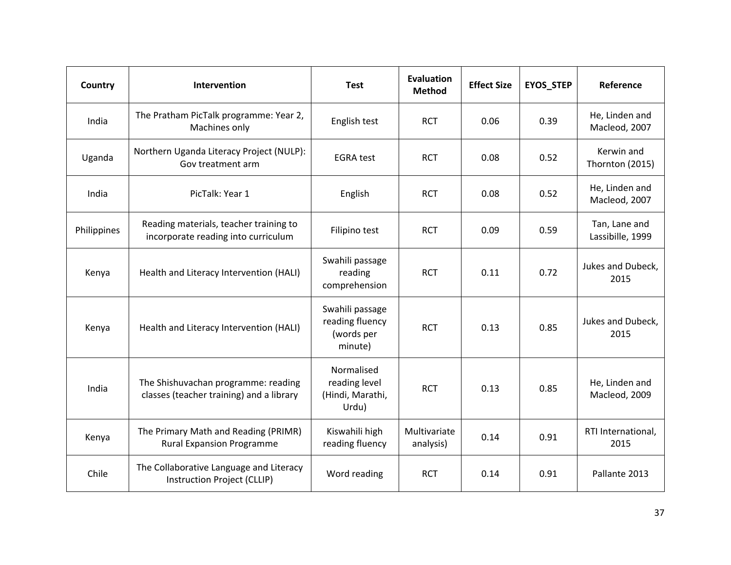| Country     | Intervention                                                                    | <b>Test</b>                                                 | <b>Evaluation</b><br><b>Method</b> | <b>Effect Size</b> | <b>EYOS_STEP</b> | Reference                         |
|-------------|---------------------------------------------------------------------------------|-------------------------------------------------------------|------------------------------------|--------------------|------------------|-----------------------------------|
| India       | The Pratham PicTalk programme: Year 2,<br>Machines only                         | English test                                                | <b>RCT</b>                         | 0.06               | 0.39             | He, Linden and<br>Macleod, 2007   |
| Uganda      | Northern Uganda Literacy Project (NULP):<br>Gov treatment arm                   | <b>EGRA</b> test                                            | <b>RCT</b>                         | 0.08               | 0.52             | Kerwin and<br>Thornton (2015)     |
| India       | PicTalk: Year 1                                                                 | English                                                     | <b>RCT</b>                         | 0.08               | 0.52             | He, Linden and<br>Macleod, 2007   |
| Philippines | Reading materials, teacher training to<br>incorporate reading into curriculum   | Filipino test                                               | <b>RCT</b>                         | 0.09               | 0.59             | Tan, Lane and<br>Lassibille, 1999 |
| Kenya       | Health and Literacy Intervention (HALI)                                         | Swahili passage<br>reading<br>comprehension                 | <b>RCT</b>                         | 0.11               | 0.72             | Jukes and Dubeck,<br>2015         |
| Kenya       | Health and Literacy Intervention (HALI)                                         | Swahili passage<br>reading fluency<br>(words per<br>minute) | <b>RCT</b>                         | 0.13               | 0.85             | Jukes and Dubeck,<br>2015         |
| India       | The Shishuvachan programme: reading<br>classes (teacher training) and a library | Normalised<br>reading level<br>(Hindi, Marathi,<br>Urdu)    | <b>RCT</b>                         | 0.13               | 0.85             | He, Linden and<br>Macleod, 2009   |
| Kenya       | The Primary Math and Reading (PRIMR)<br><b>Rural Expansion Programme</b>        | Kiswahili high<br>reading fluency                           | Multivariate<br>analysis)          | 0.14               | 0.91             | RTI International,<br>2015        |
| Chile       | The Collaborative Language and Literacy<br>Instruction Project (CLLIP)          | Word reading                                                | <b>RCT</b>                         | 0.14               | 0.91             | Pallante 2013                     |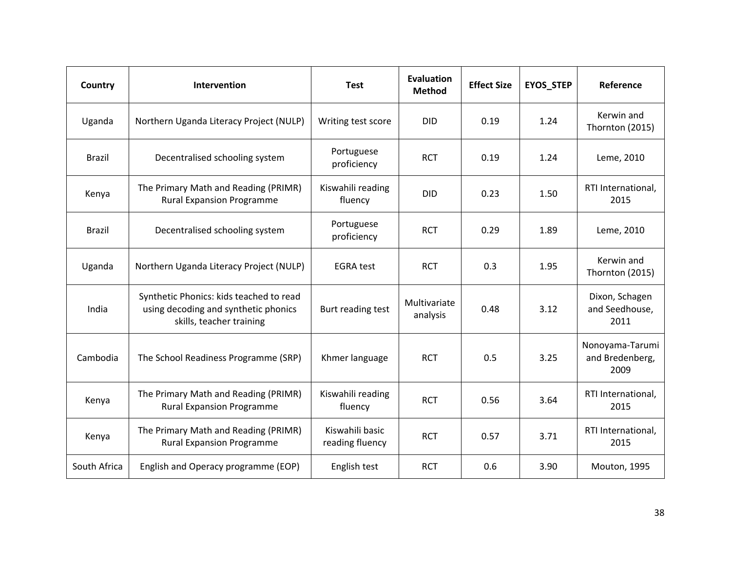| Country       | Intervention                                                                                                | <b>Test</b>                        | <b>Evaluation</b><br><b>Method</b> | <b>Effect Size</b> | <b>EYOS_STEP</b> | Reference                                  |
|---------------|-------------------------------------------------------------------------------------------------------------|------------------------------------|------------------------------------|--------------------|------------------|--------------------------------------------|
| Uganda        | Northern Uganda Literacy Project (NULP)                                                                     | Writing test score                 | <b>DID</b>                         | 0.19               | 1.24             | Kerwin and<br>Thornton (2015)              |
| <b>Brazil</b> | Decentralised schooling system                                                                              | Portuguese<br>proficiency          | <b>RCT</b>                         | 0.19               | 1.24             | Leme, 2010                                 |
| Kenya         | The Primary Math and Reading (PRIMR)<br><b>Rural Expansion Programme</b>                                    | Kiswahili reading<br>fluency       | <b>DID</b>                         | 0.23               | 1.50             | RTI International,<br>2015                 |
| <b>Brazil</b> | Decentralised schooling system                                                                              | Portuguese<br>proficiency          | <b>RCT</b>                         | 0.29               | 1.89             | Leme, 2010                                 |
| Uganda        | Northern Uganda Literacy Project (NULP)                                                                     | <b>EGRA</b> test                   | <b>RCT</b>                         | 0.3                | 1.95             | Kerwin and<br>Thornton (2015)              |
| India         | Synthetic Phonics: kids teached to read<br>using decoding and synthetic phonics<br>skills, teacher training | Burt reading test                  | Multivariate<br>analysis           | 0.48               | 3.12             | Dixon, Schagen<br>and Seedhouse,<br>2011   |
| Cambodia      | The School Readiness Programme (SRP)                                                                        | Khmer language                     | <b>RCT</b>                         | 0.5                | 3.25             | Nonoyama-Tarumi<br>and Bredenberg,<br>2009 |
| Kenya         | The Primary Math and Reading (PRIMR)<br><b>Rural Expansion Programme</b>                                    | Kiswahili reading<br>fluency       | <b>RCT</b>                         | 0.56               | 3.64             | RTI International,<br>2015                 |
| Kenya         | The Primary Math and Reading (PRIMR)<br><b>Rural Expansion Programme</b>                                    | Kiswahili basic<br>reading fluency | <b>RCT</b>                         | 0.57               | 3.71             | RTI International,<br>2015                 |
| South Africa  | English and Operacy programme (EOP)                                                                         | English test                       | <b>RCT</b>                         | 0.6                | 3.90             | Mouton, 1995                               |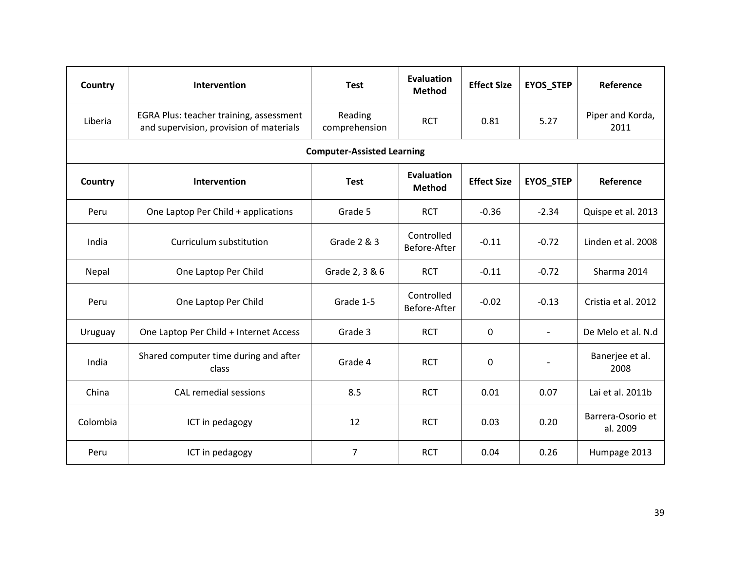| Country                           | Intervention                                                                       | <b>Test</b>              | <b>Evaluation</b><br><b>Method</b> | <b>Effect Size</b> | <b>EYOS_STEP</b>         | Reference                     |  |  |  |  |  |
|-----------------------------------|------------------------------------------------------------------------------------|--------------------------|------------------------------------|--------------------|--------------------------|-------------------------------|--|--|--|--|--|
| Liberia                           | EGRA Plus: teacher training, assessment<br>and supervision, provision of materials | Reading<br>comprehension | <b>RCT</b>                         | 0.81               | 5.27                     | Piper and Korda,<br>2011      |  |  |  |  |  |
| <b>Computer-Assisted Learning</b> |                                                                                    |                          |                                    |                    |                          |                               |  |  |  |  |  |
| Country                           | Intervention                                                                       | <b>Test</b>              | Evaluation<br><b>Method</b>        | <b>Effect Size</b> | EYOS_STEP                | Reference                     |  |  |  |  |  |
| Peru                              | One Laptop Per Child + applications                                                | Grade 5                  | <b>RCT</b>                         | $-0.36$            | $-2.34$                  | Quispe et al. 2013            |  |  |  |  |  |
| India                             | Curriculum substitution                                                            | Grade 2 & 3              | Controlled<br>Before-After         | $-0.11$            | $-0.72$                  | Linden et al. 2008            |  |  |  |  |  |
| Nepal                             | One Laptop Per Child                                                               | Grade 2, 3 & 6           | <b>RCT</b>                         | $-0.11$            | $-0.72$                  | Sharma 2014                   |  |  |  |  |  |
| Peru                              | One Laptop Per Child                                                               | Grade 1-5                | Controlled<br>Before-After         | $-0.02$            | $-0.13$                  | Cristia et al. 2012           |  |  |  |  |  |
| Uruguay                           | One Laptop Per Child + Internet Access                                             | Grade 3                  | <b>RCT</b>                         | $\mathbf{0}$       | $\overline{\phantom{a}}$ | De Melo et al. N.d            |  |  |  |  |  |
| India                             | Shared computer time during and after<br>class                                     | Grade 4                  | <b>RCT</b>                         | $\mathbf{0}$       | $\blacksquare$           | Banerjee et al.<br>2008       |  |  |  |  |  |
| China                             | <b>CAL remedial sessions</b>                                                       | 8.5                      | <b>RCT</b>                         | 0.01               | 0.07                     | Lai et al. 2011b              |  |  |  |  |  |
| Colombia                          | ICT in pedagogy                                                                    | 12                       | <b>RCT</b>                         | 0.03               | 0.20                     | Barrera-Osorio et<br>al. 2009 |  |  |  |  |  |
| Peru                              | ICT in pedagogy                                                                    | $\overline{7}$           | <b>RCT</b>                         | 0.04               | 0.26                     | Humpage 2013                  |  |  |  |  |  |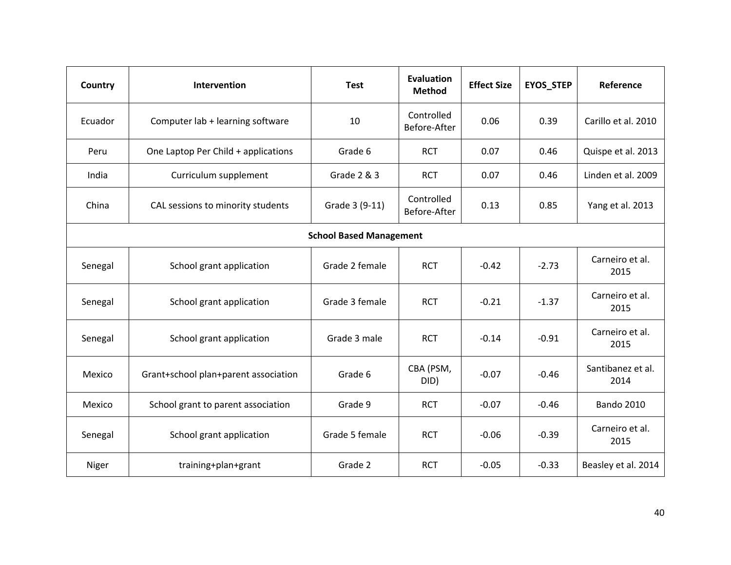| Country                        | Intervention                         | <b>Test</b>    | <b>Evaluation</b><br><b>Method</b> | <b>Effect Size</b> | <b>EYOS_STEP</b> | Reference                 |  |  |  |
|--------------------------------|--------------------------------------|----------------|------------------------------------|--------------------|------------------|---------------------------|--|--|--|
| Ecuador                        | Computer lab + learning software     | 10             | Controlled<br>Before-After         | 0.06               | 0.39             | Carillo et al. 2010       |  |  |  |
| Peru                           | One Laptop Per Child + applications  | Grade 6        | <b>RCT</b>                         | 0.07               | 0.46             | Quispe et al. 2013        |  |  |  |
| India                          | Curriculum supplement                | Grade 2 & 3    | <b>RCT</b>                         | 0.07               | 0.46             | Linden et al. 2009        |  |  |  |
| China                          | CAL sessions to minority students    | Grade 3 (9-11) | Controlled<br>Before-After         | 0.13               | 0.85             | Yang et al. 2013          |  |  |  |
| <b>School Based Management</b> |                                      |                |                                    |                    |                  |                           |  |  |  |
| Senegal                        | School grant application             | Grade 2 female | <b>RCT</b>                         | $-0.42$            | $-2.73$          | Carneiro et al.<br>2015   |  |  |  |
| Senegal                        | School grant application             | Grade 3 female | <b>RCT</b>                         | $-0.21$            | $-1.37$          | Carneiro et al.<br>2015   |  |  |  |
| Senegal                        | School grant application             | Grade 3 male   | <b>RCT</b>                         | $-0.14$            | $-0.91$          | Carneiro et al.<br>2015   |  |  |  |
| Mexico                         | Grant+school plan+parent association | Grade 6        | CBA (PSM,<br>DID)                  | $-0.07$            | $-0.46$          | Santibanez et al.<br>2014 |  |  |  |
| Mexico                         | School grant to parent association   | Grade 9        | <b>RCT</b>                         | $-0.07$            | $-0.46$          | <b>Bando 2010</b>         |  |  |  |
| Senegal                        | School grant application             | Grade 5 female | <b>RCT</b>                         | $-0.06$            | $-0.39$          | Carneiro et al.<br>2015   |  |  |  |
| Niger                          | training+plan+grant                  | Grade 2        | <b>RCT</b>                         | $-0.05$            | $-0.33$          | Beasley et al. 2014       |  |  |  |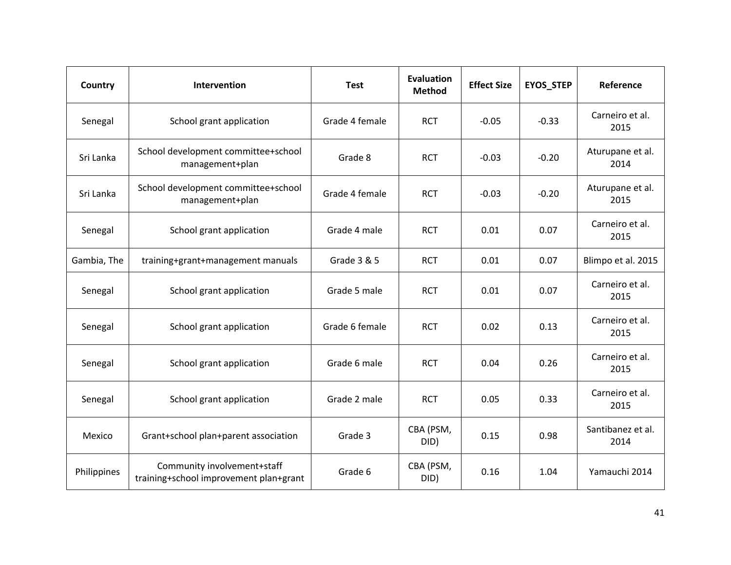| Country     | Intervention                                                          | <b>Test</b>    | <b>Evaluation</b><br><b>Method</b> | <b>Effect Size</b> | <b>EYOS_STEP</b> | Reference                 |
|-------------|-----------------------------------------------------------------------|----------------|------------------------------------|--------------------|------------------|---------------------------|
| Senegal     | School grant application                                              | Grade 4 female | <b>RCT</b>                         | $-0.05$            | $-0.33$          | Carneiro et al.<br>2015   |
| Sri Lanka   | School development committee+school<br>management+plan                | Grade 8        | <b>RCT</b>                         | $-0.03$            | $-0.20$          | Aturupane et al.<br>2014  |
| Sri Lanka   | School development committee+school<br>management+plan                | Grade 4 female | <b>RCT</b>                         | $-0.03$            | $-0.20$          | Aturupane et al.<br>2015  |
| Senegal     | School grant application                                              | Grade 4 male   | <b>RCT</b>                         | 0.01               | 0.07             | Carneiro et al.<br>2015   |
| Gambia, The | training+grant+management manuals                                     | Grade 3 & 5    | <b>RCT</b>                         | 0.01               | 0.07             | Blimpo et al. 2015        |
| Senegal     | School grant application                                              | Grade 5 male   | <b>RCT</b>                         | 0.01               | 0.07             | Carneiro et al.<br>2015   |
| Senegal     | School grant application                                              | Grade 6 female | <b>RCT</b>                         | 0.02               | 0.13             | Carneiro et al.<br>2015   |
| Senegal     | School grant application                                              | Grade 6 male   | <b>RCT</b>                         | 0.04               | 0.26             | Carneiro et al.<br>2015   |
| Senegal     | School grant application                                              | Grade 2 male   | <b>RCT</b>                         | 0.05               | 0.33             | Carneiro et al.<br>2015   |
| Mexico      | Grant+school plan+parent association                                  | Grade 3        | CBA (PSM,<br>DID)                  | 0.15               | 0.98             | Santibanez et al.<br>2014 |
| Philippines | Community involvement+staff<br>training+school improvement plan+grant | Grade 6        | CBA (PSM,<br>DID)                  | 0.16               | 1.04             | Yamauchi 2014             |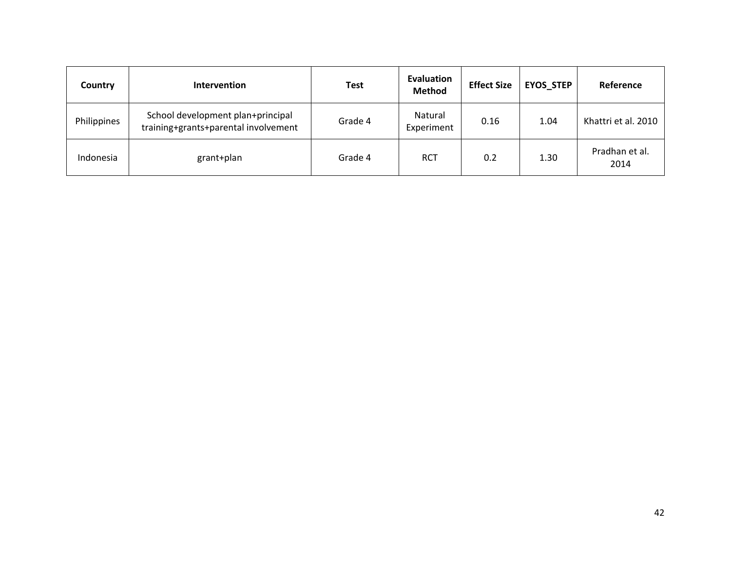| Country     | <b>Intervention</b>                                                       | Test    | Evaluation<br><b>Method</b> | <b>Effect Size</b> | <b>EYOS STEP</b> | Reference              |
|-------------|---------------------------------------------------------------------------|---------|-----------------------------|--------------------|------------------|------------------------|
| Philippines | School development plan+principal<br>training+grants+parental involvement | Grade 4 | Natural<br>Experiment       | 0.16               | 1.04             | Khattri et al. 2010    |
| Indonesia   | grant+plan                                                                | Grade 4 | <b>RCT</b>                  | 0.2                | 1.30             | Pradhan et al.<br>2014 |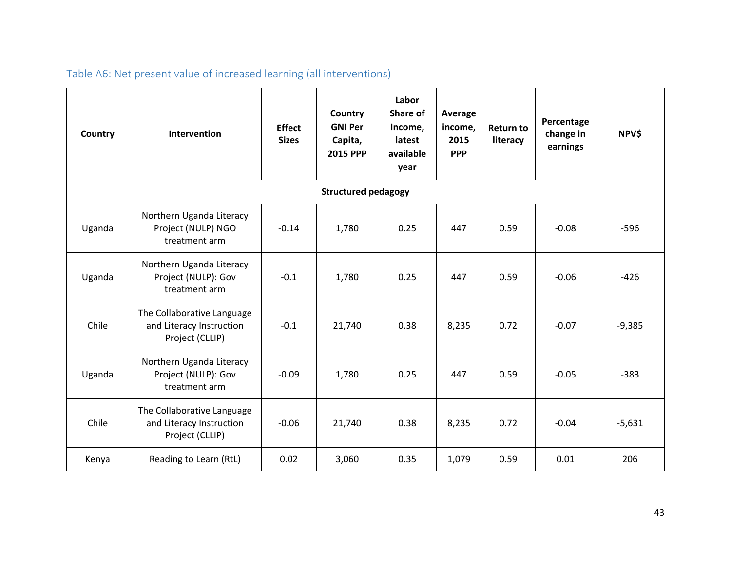| Country | Intervention                                                              | <b>Effect</b><br><b>Sizes</b> | Country<br><b>GNI Per</b><br>Capita,<br><b>2015 PPP</b> | Labor<br>Share of<br>Income,<br>latest<br>available<br>year | Average<br>income,<br>2015<br><b>PPP</b> | <b>Return to</b><br>literacy | Percentage<br>change in<br>earnings | <b>NPV\$</b> |  |  |  |
|---------|---------------------------------------------------------------------------|-------------------------------|---------------------------------------------------------|-------------------------------------------------------------|------------------------------------------|------------------------------|-------------------------------------|--------------|--|--|--|
|         | <b>Structured pedagogy</b>                                                |                               |                                                         |                                                             |                                          |                              |                                     |              |  |  |  |
| Uganda  | Northern Uganda Literacy<br>Project (NULP) NGO<br>treatment arm           | $-0.14$                       | 1,780                                                   | 0.25                                                        | 447                                      | 0.59                         | $-0.08$                             | $-596$       |  |  |  |
| Uganda  | Northern Uganda Literacy<br>Project (NULP): Gov<br>treatment arm          | $-0.1$                        | 1,780                                                   | 0.25                                                        | 447                                      | 0.59                         | $-0.06$                             | $-426$       |  |  |  |
| Chile   | The Collaborative Language<br>and Literacy Instruction<br>Project (CLLIP) | $-0.1$                        | 21,740                                                  | 0.38                                                        | 8,235                                    | 0.72                         | $-0.07$                             | $-9,385$     |  |  |  |
| Uganda  | Northern Uganda Literacy<br>Project (NULP): Gov<br>treatment arm          | $-0.09$                       | 1,780                                                   | 0.25                                                        | 447                                      | 0.59                         | $-0.05$                             | $-383$       |  |  |  |
| Chile   | The Collaborative Language<br>and Literacy Instruction<br>Project (CLLIP) | $-0.06$                       | 21,740                                                  | 0.38                                                        | 8,235                                    | 0.72                         | $-0.04$                             | $-5,631$     |  |  |  |
| Kenya   | Reading to Learn (RtL)                                                    | 0.02                          | 3,060                                                   | 0.35                                                        | 1,079                                    | 0.59                         | 0.01                                | 206          |  |  |  |

# Table A6: Net present value of increased learning (all interventions)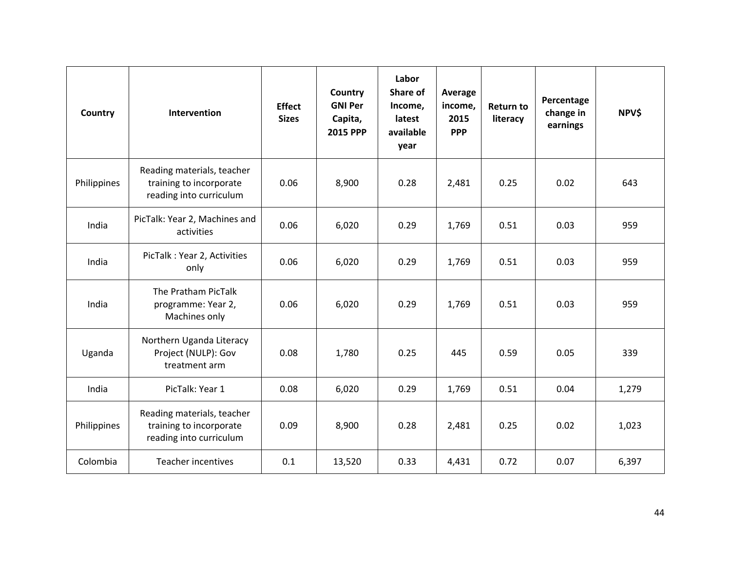| Country     | Intervention                                                                     | <b>Effect</b><br><b>Sizes</b> | Country<br><b>GNI Per</b><br>Capita,<br><b>2015 PPP</b> | Labor<br>Share of<br>Income,<br>latest<br>available<br>year | Average<br>income,<br>2015<br><b>PPP</b> | <b>Return to</b><br>literacy | Percentage<br>change in<br>earnings | NPV\$ |
|-------------|----------------------------------------------------------------------------------|-------------------------------|---------------------------------------------------------|-------------------------------------------------------------|------------------------------------------|------------------------------|-------------------------------------|-------|
| Philippines | Reading materials, teacher<br>training to incorporate<br>reading into curriculum | 0.06                          | 8,900                                                   | 0.28                                                        | 2,481                                    | 0.25                         | 0.02                                | 643   |
| India       | PicTalk: Year 2, Machines and<br>activities                                      | 0.06                          | 6,020                                                   | 0.29                                                        | 1,769                                    | 0.51                         | 0.03                                | 959   |
| India       | PicTalk: Year 2, Activities<br>only                                              | 0.06                          | 6,020                                                   | 0.29                                                        | 1,769                                    | 0.51                         | 0.03                                | 959   |
| India       | The Pratham PicTalk<br>programme: Year 2,<br>Machines only                       | 0.06                          | 6,020                                                   | 0.29                                                        | 1,769                                    | 0.51                         | 0.03                                | 959   |
| Uganda      | Northern Uganda Literacy<br>Project (NULP): Gov<br>treatment arm                 | 0.08                          | 1,780                                                   | 0.25                                                        | 445                                      | 0.59                         | 0.05                                | 339   |
| India       | PicTalk: Year 1                                                                  | 0.08                          | 6,020                                                   | 0.29                                                        | 1,769                                    | 0.51                         | 0.04                                | 1,279 |
| Philippines | Reading materials, teacher<br>training to incorporate<br>reading into curriculum | 0.09                          | 8,900                                                   | 0.28                                                        | 2,481                                    | 0.25                         | 0.02                                | 1,023 |
| Colombia    | <b>Teacher incentives</b>                                                        | 0.1                           | 13,520                                                  | 0.33                                                        | 4,431                                    | 0.72                         | 0.07                                | 6,397 |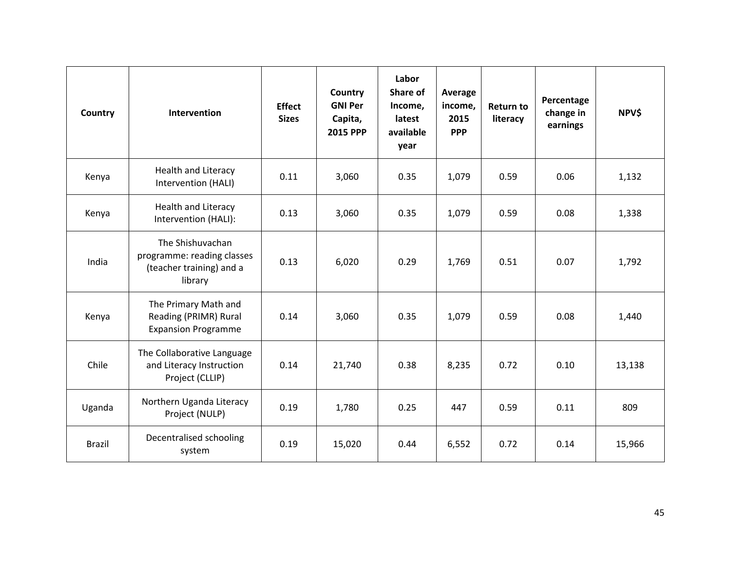| Country       | Intervention                                                                          | <b>Effect</b><br><b>Sizes</b> | Country<br><b>GNI Per</b><br>Capita,<br><b>2015 PPP</b> | Labor<br>Share of<br>Income,<br>latest<br>available<br>year | Average<br>income,<br>2015<br><b>PPP</b> | <b>Return to</b><br>literacy | Percentage<br>change in<br>earnings | <b>NPV\$</b> |
|---------------|---------------------------------------------------------------------------------------|-------------------------------|---------------------------------------------------------|-------------------------------------------------------------|------------------------------------------|------------------------------|-------------------------------------|--------------|
| Kenya         | Health and Literacy<br>Intervention (HALI)                                            | 0.11                          | 3,060                                                   | 0.35                                                        | 1,079                                    | 0.59                         | 0.06                                | 1,132        |
| Kenya         | Health and Literacy<br>Intervention (HALI):                                           | 0.13                          | 3,060                                                   | 0.35                                                        | 1,079                                    | 0.59                         | 0.08                                | 1,338        |
| India         | The Shishuvachan<br>programme: reading classes<br>(teacher training) and a<br>library | 0.13                          | 6,020                                                   | 0.29                                                        | 1,769                                    | 0.51                         | 0.07                                | 1,792        |
| Kenya         | The Primary Math and<br>Reading (PRIMR) Rural<br><b>Expansion Programme</b>           | 0.14                          | 3,060                                                   | 0.35                                                        | 1,079                                    | 0.59                         | 0.08                                | 1,440        |
| Chile         | The Collaborative Language<br>and Literacy Instruction<br>Project (CLLIP)             | 0.14                          | 21,740                                                  | 0.38                                                        | 8,235                                    | 0.72                         | 0.10                                | 13,138       |
| Uganda        | Northern Uganda Literacy<br>Project (NULP)                                            | 0.19                          | 1,780                                                   | 0.25                                                        | 447                                      | 0.59                         | 0.11                                | 809          |
| <b>Brazil</b> | Decentralised schooling<br>system                                                     | 0.19                          | 15,020                                                  | 0.44                                                        | 6,552                                    | 0.72                         | 0.14                                | 15,966       |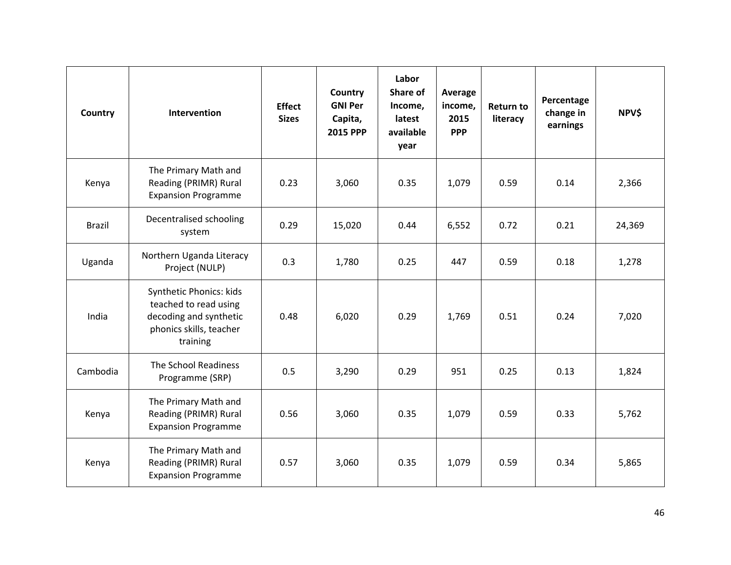| Country       | Intervention                                                                                                      | <b>Effect</b><br><b>Sizes</b> | Country<br><b>GNI Per</b><br>Capita,<br><b>2015 PPP</b> | Labor<br>Share of<br>Income,<br>latest<br>available<br>year | Average<br>income,<br>2015<br><b>PPP</b> | <b>Return to</b><br>literacy | Percentage<br>change in<br>earnings | NPV\$  |
|---------------|-------------------------------------------------------------------------------------------------------------------|-------------------------------|---------------------------------------------------------|-------------------------------------------------------------|------------------------------------------|------------------------------|-------------------------------------|--------|
| Kenya         | The Primary Math and<br>Reading (PRIMR) Rural<br><b>Expansion Programme</b>                                       | 0.23                          | 3,060                                                   | 0.35                                                        | 1,079                                    | 0.59                         | 0.14                                | 2,366  |
| <b>Brazil</b> | Decentralised schooling<br>system                                                                                 | 0.29                          | 15,020                                                  | 0.44                                                        | 6,552                                    | 0.72                         | 0.21                                | 24,369 |
| Uganda        | Northern Uganda Literacy<br>Project (NULP)                                                                        | 0.3                           | 1,780                                                   | 0.25                                                        | 447                                      | 0.59                         | 0.18                                | 1,278  |
| India         | Synthetic Phonics: kids<br>teached to read using<br>decoding and synthetic<br>phonics skills, teacher<br>training | 0.48                          | 6,020                                                   | 0.29                                                        | 1,769                                    | 0.51                         | 0.24                                | 7,020  |
| Cambodia      | The School Readiness<br>Programme (SRP)                                                                           | 0.5                           | 3,290                                                   | 0.29                                                        | 951                                      | 0.25                         | 0.13                                | 1,824  |
| Kenya         | The Primary Math and<br>Reading (PRIMR) Rural<br><b>Expansion Programme</b>                                       | 0.56                          | 3,060                                                   | 0.35                                                        | 1,079                                    | 0.59                         | 0.33                                | 5,762  |
| Kenya         | The Primary Math and<br>Reading (PRIMR) Rural<br><b>Expansion Programme</b>                                       | 0.57                          | 3,060                                                   | 0.35                                                        | 1,079                                    | 0.59                         | 0.34                                | 5,865  |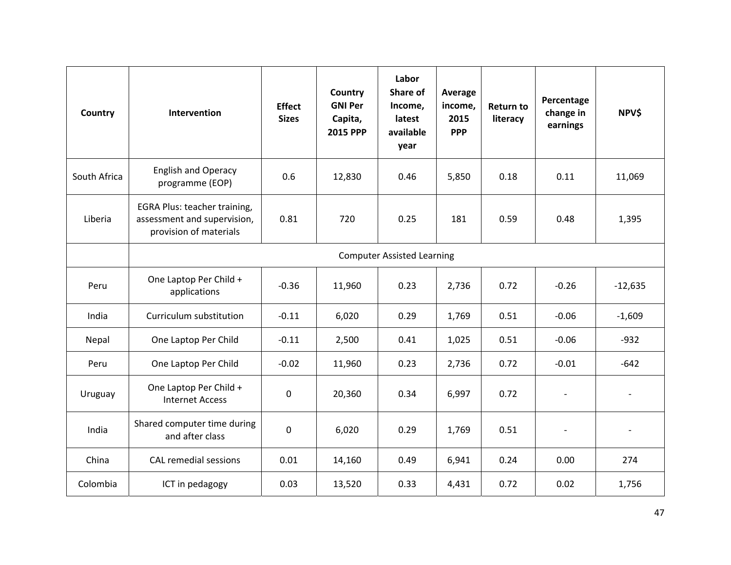| Country      | Intervention                                                                          | <b>Effect</b><br><b>Sizes</b> | Country<br><b>GNI Per</b><br>Capita,<br><b>2015 PPP</b> | Labor<br>Share of<br>Income,<br>latest<br>available<br>year | Average<br>income,<br>2015<br><b>PPP</b> | <b>Return to</b><br>literacy | Percentage<br>change in<br>earnings | NPV\$                    |  |
|--------------|---------------------------------------------------------------------------------------|-------------------------------|---------------------------------------------------------|-------------------------------------------------------------|------------------------------------------|------------------------------|-------------------------------------|--------------------------|--|
| South Africa | <b>English and Operacy</b><br>programme (EOP)                                         | 0.6                           | 12,830                                                  | 0.46                                                        | 5,850                                    | 0.18                         | 0.11                                | 11,069                   |  |
| Liberia      | EGRA Plus: teacher training,<br>assessment and supervision,<br>provision of materials | 0.81                          | 720                                                     | 0.25                                                        | 181                                      | 0.59                         | 0.48                                | 1,395                    |  |
|              | <b>Computer Assisted Learning</b>                                                     |                               |                                                         |                                                             |                                          |                              |                                     |                          |  |
| Peru         | One Laptop Per Child +<br>applications                                                | $-0.36$                       | 11,960                                                  | 0.23                                                        | 2,736                                    | 0.72                         | $-0.26$                             | $-12,635$                |  |
| India        | Curriculum substitution                                                               | $-0.11$                       | 6,020                                                   | 0.29                                                        | 1,769                                    | 0.51                         | $-0.06$                             | $-1,609$                 |  |
| Nepal        | One Laptop Per Child                                                                  | $-0.11$                       | 2,500                                                   | 0.41                                                        | 1,025                                    | 0.51                         | $-0.06$                             | $-932$                   |  |
| Peru         | One Laptop Per Child                                                                  | $-0.02$                       | 11,960                                                  | 0.23                                                        | 2,736                                    | 0.72                         | $-0.01$                             | $-642$                   |  |
| Uruguay      | One Laptop Per Child +<br><b>Internet Access</b>                                      | $\mathbf 0$                   | 20,360                                                  | 0.34                                                        | 6,997                                    | 0.72                         |                                     |                          |  |
| India        | Shared computer time during<br>and after class                                        | $\mathbf 0$                   | 6,020                                                   | 0.29                                                        | 1,769                                    | 0.51                         | $\overline{\phantom{a}}$            | $\overline{\phantom{a}}$ |  |
| China        | CAL remedial sessions                                                                 | 0.01                          | 14,160                                                  | 0.49                                                        | 6,941                                    | 0.24                         | 0.00                                | 274                      |  |
| Colombia     | ICT in pedagogy                                                                       | 0.03                          | 13,520                                                  | 0.33                                                        | 4,431                                    | 0.72                         | 0.02                                | 1,756                    |  |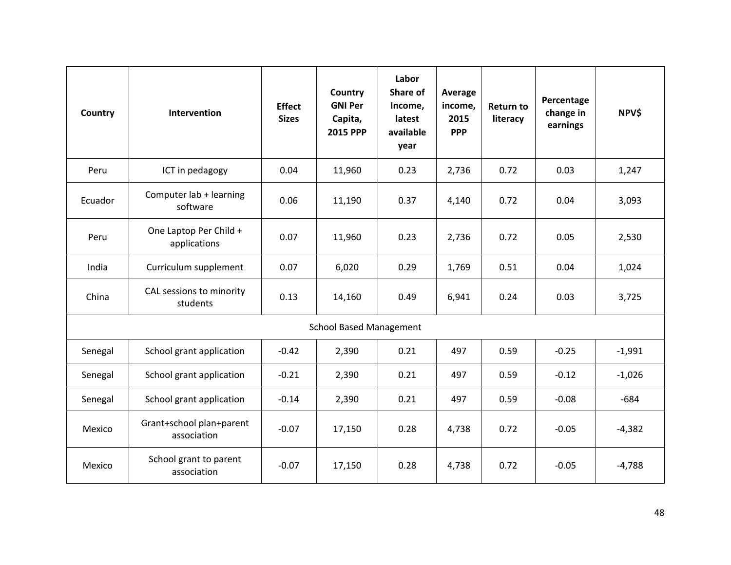| Country                        | <b>Intervention</b>                     | <b>Effect</b><br><b>Sizes</b> | Country<br><b>GNI Per</b><br>Capita,<br><b>2015 PPP</b> | Labor<br>Share of<br>Income,<br>latest<br>available<br>year | Average<br>income,<br>2015<br><b>PPP</b> | <b>Return to</b><br>literacy | Percentage<br>change in<br>earnings | <b>NPV\$</b> |  |
|--------------------------------|-----------------------------------------|-------------------------------|---------------------------------------------------------|-------------------------------------------------------------|------------------------------------------|------------------------------|-------------------------------------|--------------|--|
| Peru                           | ICT in pedagogy                         | 0.04                          | 11,960                                                  | 0.23                                                        | 2,736                                    | 0.72                         | 0.03                                | 1,247        |  |
| Ecuador                        | Computer lab + learning<br>software     | 0.06                          | 11,190                                                  | 0.37                                                        | 4,140                                    | 0.72                         | 0.04                                | 3,093        |  |
| Peru                           | One Laptop Per Child +<br>applications  | 0.07                          | 11,960                                                  | 0.23                                                        | 2,736                                    | 0.72                         | 0.05                                | 2,530        |  |
| India                          | Curriculum supplement                   | 0.07                          | 6,020                                                   | 0.29                                                        | 1,769                                    | 0.51                         | 0.04                                | 1,024        |  |
| China                          | CAL sessions to minority<br>students    | 0.13                          | 14,160                                                  | 0.49                                                        | 6,941                                    | 0.24                         | 0.03                                | 3,725        |  |
| <b>School Based Management</b> |                                         |                               |                                                         |                                                             |                                          |                              |                                     |              |  |
| Senegal                        | School grant application                | $-0.42$                       | 2,390                                                   | 0.21                                                        | 497                                      | 0.59                         | $-0.25$                             | $-1,991$     |  |
| Senegal                        | School grant application                | $-0.21$                       | 2,390                                                   | 0.21                                                        | 497                                      | 0.59                         | $-0.12$                             | $-1,026$     |  |
| Senegal                        | School grant application                | $-0.14$                       | 2,390                                                   | 0.21                                                        | 497                                      | 0.59                         | $-0.08$                             | $-684$       |  |
| Mexico                         | Grant+school plan+parent<br>association | $-0.07$                       | 17,150                                                  | 0.28                                                        | 4,738                                    | 0.72                         | $-0.05$                             | $-4,382$     |  |
| Mexico                         | School grant to parent<br>association   | $-0.07$                       | 17,150                                                  | 0.28                                                        | 4,738                                    | 0.72                         | $-0.05$                             | $-4,788$     |  |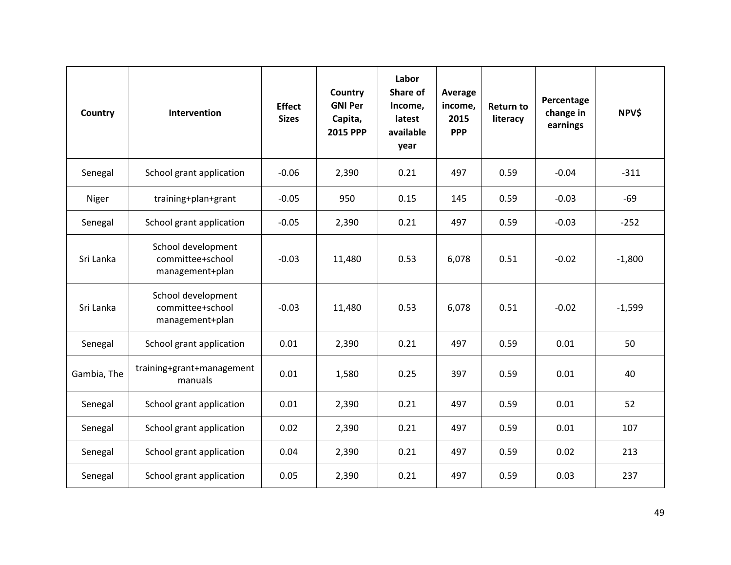| Country     | Intervention                                              | <b>Effect</b><br><b>Sizes</b> | Country<br><b>GNI Per</b><br>Capita,<br><b>2015 PPP</b> | Labor<br>Share of<br>Income,<br>latest<br>available<br>year | Average<br>income,<br>2015<br><b>PPP</b> | <b>Return to</b><br>literacy | Percentage<br>change in<br>earnings | NPV\$    |
|-------------|-----------------------------------------------------------|-------------------------------|---------------------------------------------------------|-------------------------------------------------------------|------------------------------------------|------------------------------|-------------------------------------|----------|
| Senegal     | School grant application                                  | $-0.06$                       | 2,390                                                   | 0.21                                                        | 497                                      | 0.59                         | $-0.04$                             | $-311$   |
| Niger       | training+plan+grant                                       | $-0.05$                       | 950                                                     | 0.15                                                        | 145                                      | 0.59                         | $-0.03$                             | $-69$    |
| Senegal     | School grant application                                  | $-0.05$                       | 2,390                                                   | 0.21                                                        | 497                                      | 0.59                         | $-0.03$                             | $-252$   |
| Sri Lanka   | School development<br>committee+school<br>management+plan | $-0.03$                       | 11,480                                                  | 0.53                                                        | 6,078                                    | 0.51                         | $-0.02$                             | $-1,800$ |
| Sri Lanka   | School development<br>committee+school<br>management+plan | $-0.03$                       | 11,480                                                  | 0.53                                                        | 6,078                                    | 0.51                         | $-0.02$                             | $-1,599$ |
| Senegal     | School grant application                                  | 0.01                          | 2,390                                                   | 0.21                                                        | 497                                      | 0.59                         | 0.01                                | 50       |
| Gambia, The | training+grant+management<br>manuals                      | 0.01                          | 1,580                                                   | 0.25                                                        | 397                                      | 0.59                         | 0.01                                | 40       |
| Senegal     | School grant application                                  | 0.01                          | 2,390                                                   | 0.21                                                        | 497                                      | 0.59                         | 0.01                                | 52       |
| Senegal     | School grant application                                  | 0.02                          | 2,390                                                   | 0.21                                                        | 497                                      | 0.59                         | 0.01                                | 107      |
| Senegal     | School grant application                                  | 0.04                          | 2,390                                                   | 0.21                                                        | 497                                      | 0.59                         | 0.02                                | 213      |
| Senegal     | School grant application                                  | 0.05                          | 2,390                                                   | 0.21                                                        | 497                                      | 0.59                         | 0.03                                | 237      |